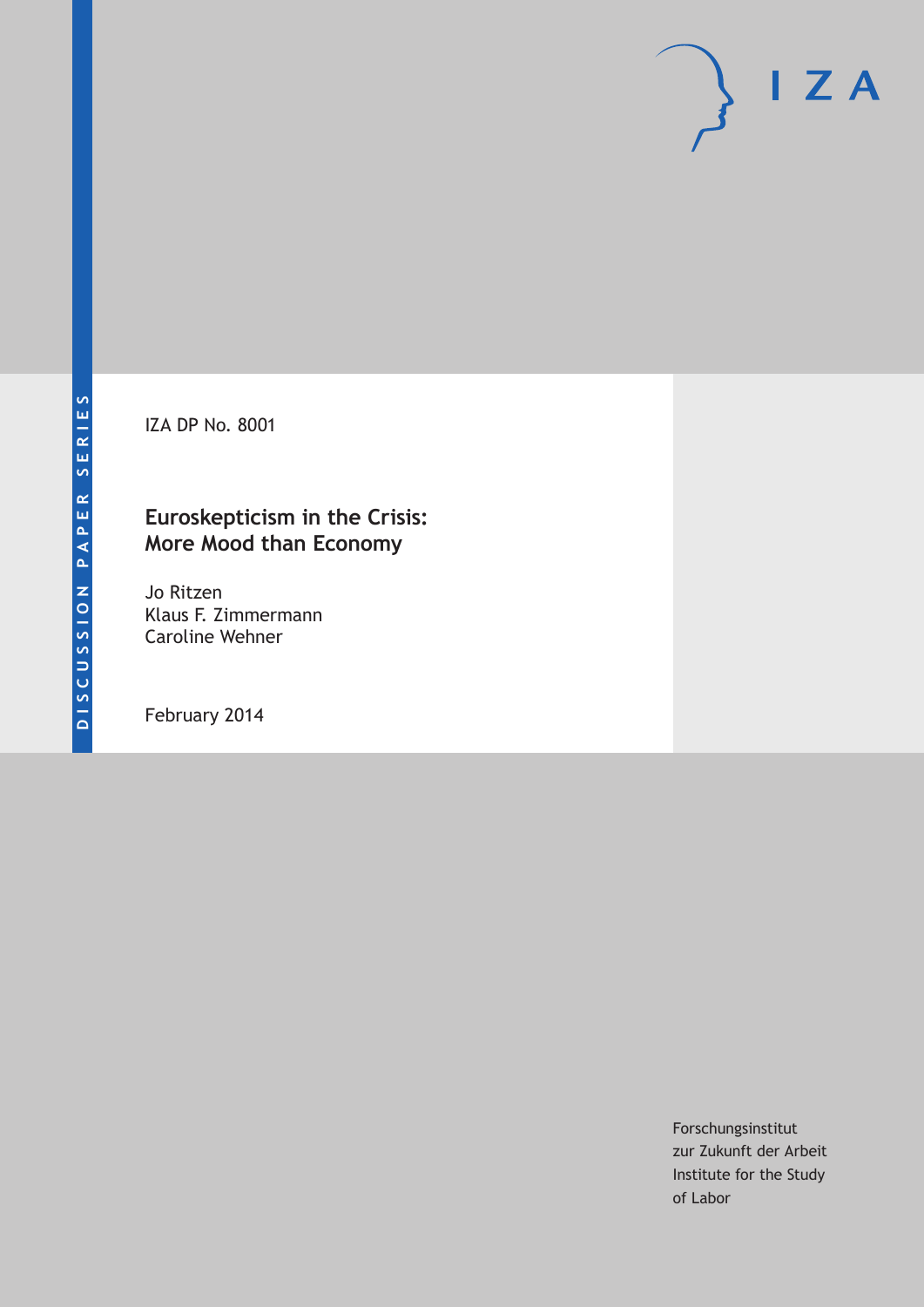IZA DP No. 8001

## **Euroskepticism in the Crisis: More Mood than Economy**

Jo Ritzen Klaus F. Zimmermann Caroline Wehner

February 2014

Forschungsinstitut zur Zukunft der Arbeit Institute for the Study of Labor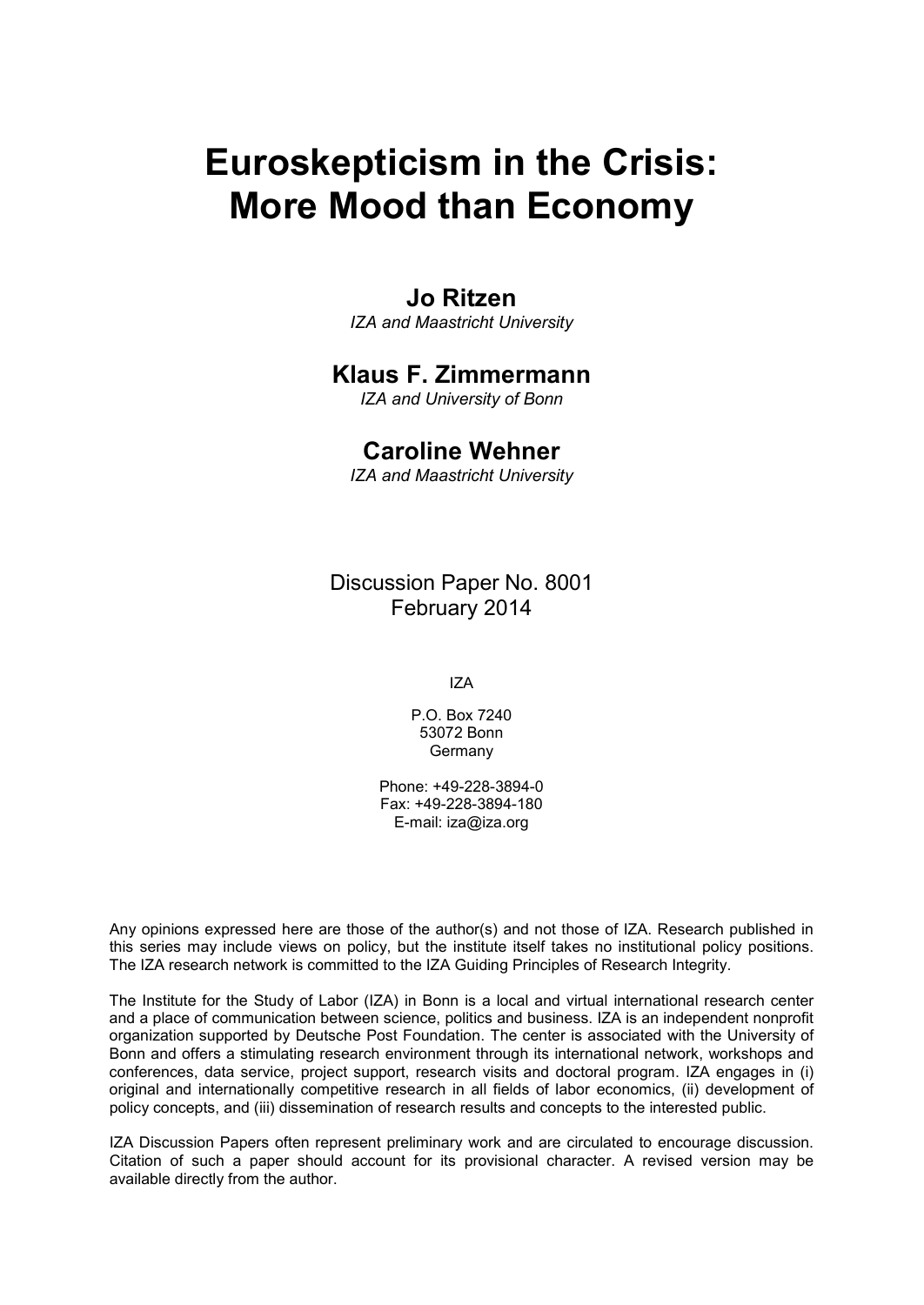# **Euroskepticism in the Crisis: More Mood than Economy**

### **Jo Ritzen**

*IZA and Maastricht University*

### **Klaus F. Zimmermann**

*IZA and University of Bonn*

### **Caroline Wehner**

*IZA and Maastricht University*

Discussion Paper No. 8001 February 2014

IZA

P.O. Box 7240 53072 Bonn Germany

Phone: +49-228-3894-0 Fax: +49-228-3894-180 E-mail: [iza@iza.org](mailto:iza@iza.org)

Any opinions expressed here are those of the author(s) and not those of IZA. Research published in this series may include views on policy, but the institute itself takes no institutional policy positions. The IZA research network is committed to the IZA Guiding Principles of Research Integrity.

The Institute for the Study of Labor (IZA) in Bonn is a local and virtual international research center and a place of communication between science, politics and business. IZA is an independent nonprofit organization supported by Deutsche Post Foundation. The center is associated with the University of Bonn and offers a stimulating research environment through its international network, workshops and conferences, data service, project support, research visits and doctoral program. IZA engages in (i) original and internationally competitive research in all fields of labor economics, (ii) development of policy concepts, and (iii) dissemination of research results and concepts to the interested public.

<span id="page-1-0"></span>IZA Discussion Papers often represent preliminary work and are circulated to encourage discussion. Citation of such a paper should account for its provisional character. A revised version may be available directly from the author.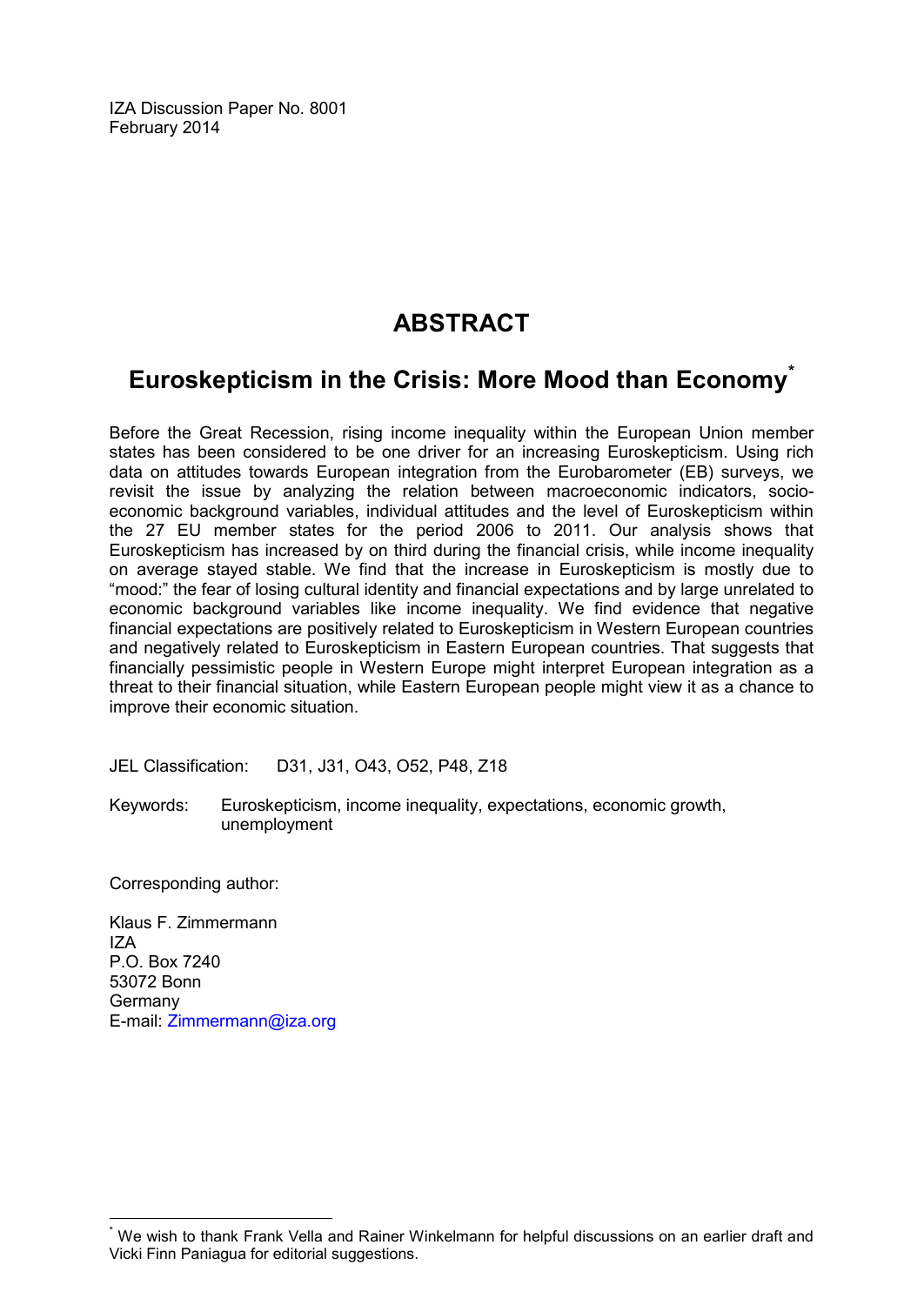IZA Discussion Paper No. 8001 February 2014

# **ABSTRACT**

# **Euroskepticism in the Crisis: More Mood than Economy[\\*](#page-1-0)**

Before the Great Recession, rising income inequality within the European Union member states has been considered to be one driver for an increasing Euroskepticism. Using rich data on attitudes towards European integration from the Eurobarometer (EB) surveys, we revisit the issue by analyzing the relation between macroeconomic indicators, socioeconomic background variables, individual attitudes and the level of Euroskepticism within the 27 EU member states for the period 2006 to 2011. Our analysis shows that Euroskepticism has increased by on third during the financial crisis, while income inequality on average stayed stable. We find that the increase in Euroskepticism is mostly due to "mood:" the fear of losing cultural identity and financial expectations and by large unrelated to economic background variables like income inequality. We find evidence that negative financial expectations are positively related to Euroskepticism in Western European countries and negatively related to Euroskepticism in Eastern European countries. That suggests that financially pessimistic people in Western Europe might interpret European integration as a threat to their financial situation, while Eastern European people might view it as a chance to improve their economic situation.

JEL Classification: D31, J31, O43, O52, P48, Z18

Keywords: Euroskepticism, income inequality, expectations, economic growth, unemployment

Corresponding author:

Klaus F. Zimmermann IZA P.O. Box 7240 53072 Bonn **Germany** E-mail: [Zimmermann@iza.org](mailto:Zimmermann@iza.org)

We wish to thank Frank Vella and Rainer Winkelmann for helpful discussions on an earlier draft and Vicki Finn Paniagua for editorial suggestions.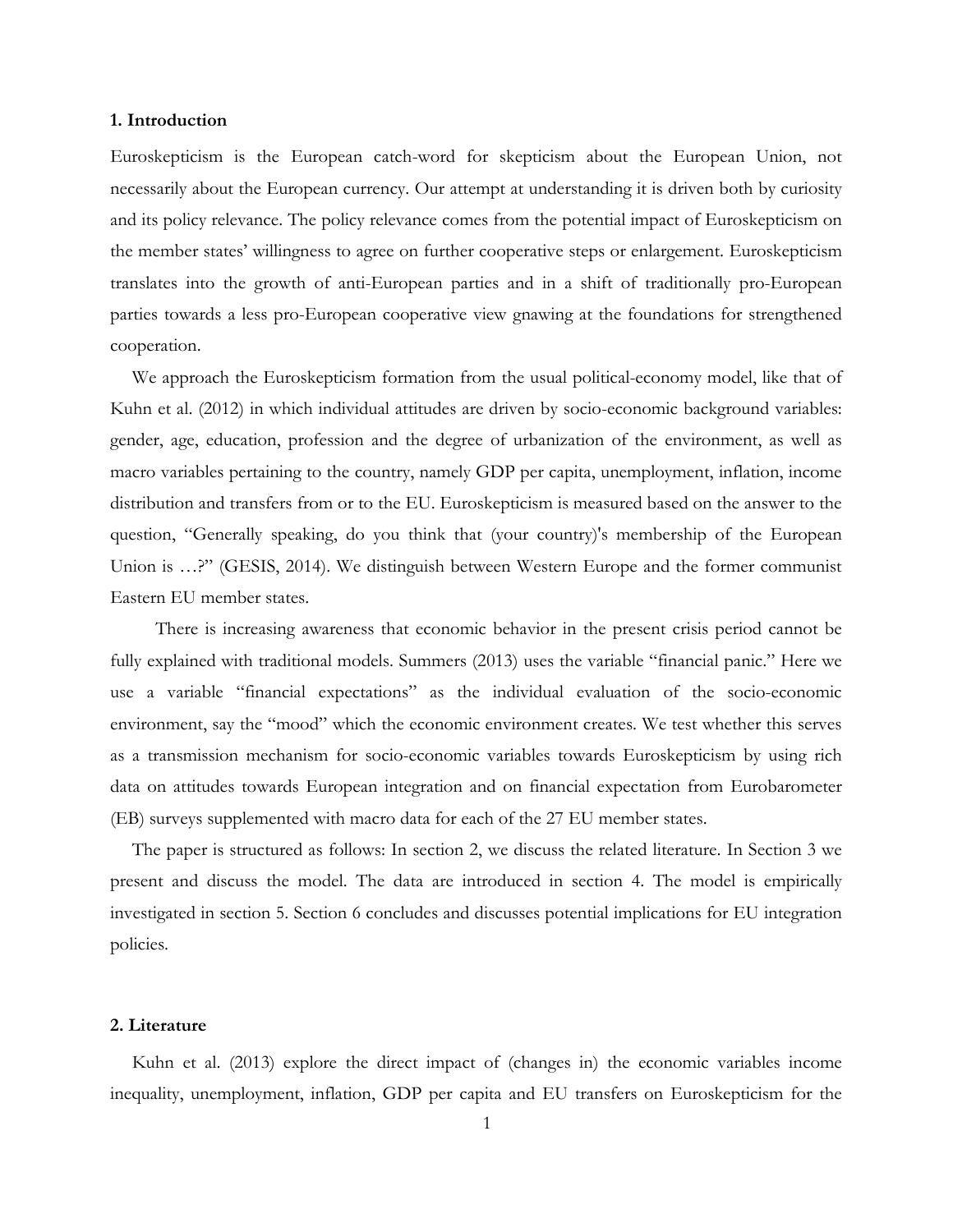#### **1. Introduction**

Euroskepticism is the European catch-word for skepticism about the European Union, not necessarily about the European currency. Our attempt at understanding it is driven both by curiosity and its policy relevance. The policy relevance comes from the potential impact of Euroskepticism on the member states' willingness to agree on further cooperative steps or enlargement. Euroskepticism translates into the growth of anti-European parties and in a shift of traditionally pro-European parties towards a less pro-European cooperative view gnawing at the foundations for strengthened cooperation.

We approach the Euroskepticism formation from the usual political-economy model, like that of Kuhn et al. (2012) in which individual attitudes are driven by socio-economic background variables: gender, age, education, profession and the degree of urbanization of the environment, as well as macro variables pertaining to the country, namely GDP per capita, unemployment, inflation, income distribution and transfers from or to the EU. Euroskepticism is measured based on the answer to the question, "Generally speaking, do you think that (your country)'s membership of the European Union is ...?" (GESIS, 2014). We distinguish between Western Europe and the former communist Eastern EU member states.

 There is increasing awareness that economic behavior in the present crisis period cannot be fully explained with traditional models. Summers (2013) uses the variable "financial panic." Here we use a variable "financial expectations" as the individual evaluation of the socio-economic environment, say the "mood" which the economic environment creates. We test whether this serves as a transmission mechanism for socio-economic variables towards Euroskepticism by using rich data on attitudes towards European integration and on financial expectation from Eurobarometer (EB) surveys supplemented with macro data for each of the 27 EU member states.

The paper is structured as follows: In section 2, we discuss the related literature. In Section 3 we present and discuss the model. The data are introduced in section 4. The model is empirically investigated in section 5. Section 6 concludes and discusses potential implications for EU integration policies.

#### **2. Literature**

Kuhn et al. (2013) explore the direct impact of (changes in) the economic variables income inequality, unemployment, inflation, GDP per capita and EU transfers on Euroskepticism for the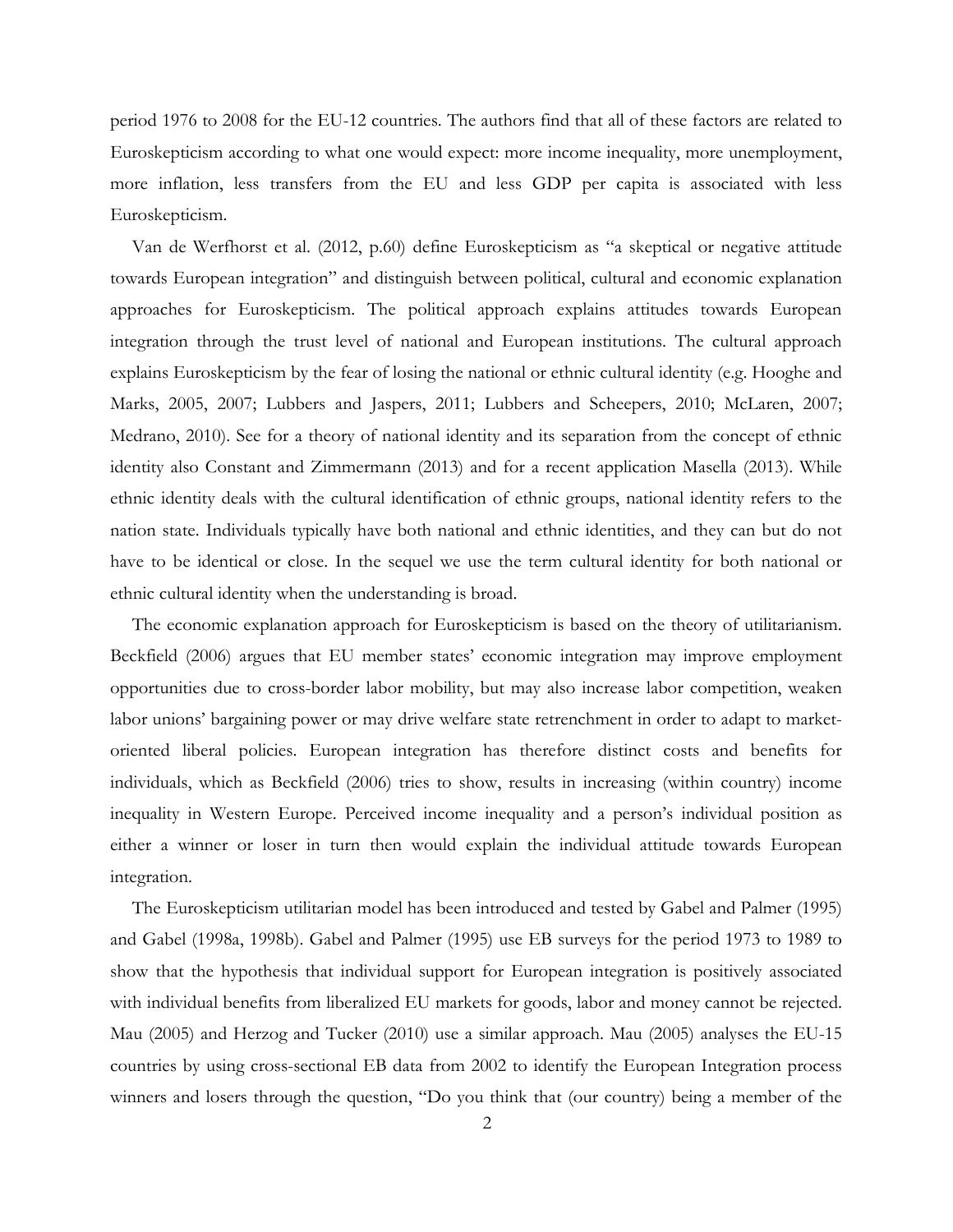period 1976 to 2008 for the EU-12 countries. The authors find that all of these factors are related to Euroskepticism according to what one would expect: more income inequality, more unemployment, more inflation, less transfers from the EU and less GDP per capita is associated with less Euroskepticism.

Van de Werfhorst et al. (2012, p.60) define Euroskepticism as "a skeptical or negative attitude towards European integration" and distinguish between political, cultural and economic explanation approaches for Euroskepticism. The political approach explains attitudes towards European integration through the trust level of national and European institutions. The cultural approach explains Euroskepticism by the fear of losing the national or ethnic cultural identity (e.g. Hooghe and Marks, 2005, 2007; Lubbers and Jaspers, 2011; Lubbers and Scheepers, 2010; McLaren, 2007; Medrano, 2010). See for a theory of national identity and its separation from the concept of ethnic identity also Constant and Zimmermann (2013) and for a recent application Masella (2013). While ethnic identity deals with the cultural identification of ethnic groups, national identity refers to the nation state. Individuals typically have both national and ethnic identities, and they can but do not have to be identical or close. In the sequel we use the term cultural identity for both national or ethnic cultural identity when the understanding is broad.

The economic explanation approach for Euroskepticism is based on the theory of utilitarianism. Beckfield (2006) argues that EU member states' economic integration may improve employment opportunities due to cross-border labor mobility, but may also increase labor competition, weaken labor unions' bargaining power or may drive welfare state retrenchment in order to adapt to marketoriented liberal policies. European integration has therefore distinct costs and benefits for individuals, which as Beckfield (2006) tries to show, results in increasing (within country) income inequality in Western Europe. Perceived income inequality and a person's individual position as either a winner or loser in turn then would explain the individual attitude towards European integration.

The Euroskepticism utilitarian model has been introduced and tested by Gabel and Palmer (1995) and Gabel (1998a, 1998b). Gabel and Palmer (1995) use EB surveys for the period 1973 to 1989 to show that the hypothesis that individual support for European integration is positively associated with individual benefits from liberalized EU markets for goods, labor and money cannot be rejected. Mau (2005) and Herzog and Tucker (2010) use a similar approach. Mau (2005) analyses the EU-15 countries by using cross-sectional EB data from 2002 to identify the European Integration process winners and losers through the question, "Do you think that (our country) being a member of the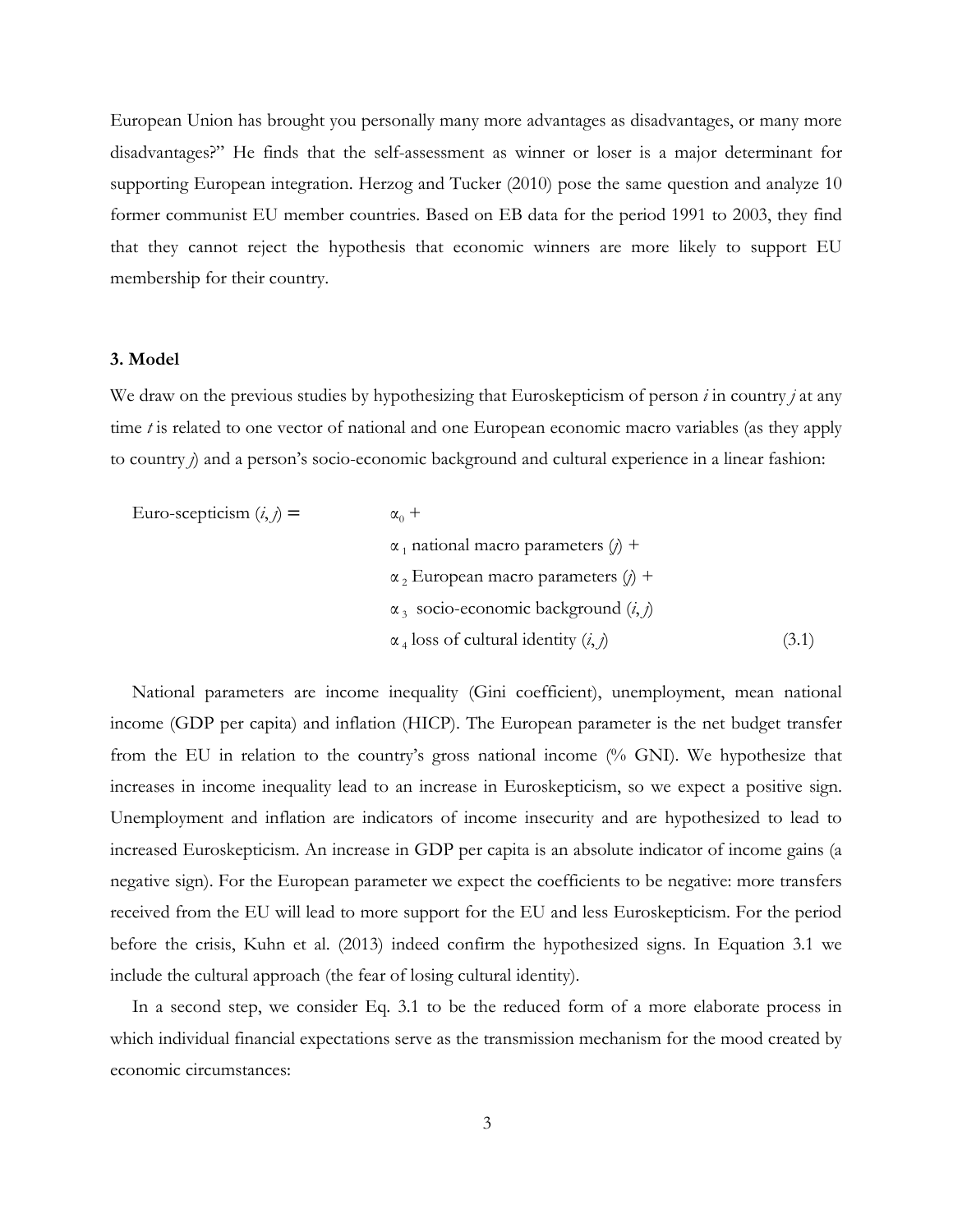European Union has brought you personally many more advantages as disadvantages, or many more disadvantages?" He finds that the self-assessment as winner or loser is a major determinant for supporting European integration. Herzog and Tucker (2010) pose the same question and analyze 10 former communist EU member countries. Based on EB data for the period 1991 to 2003, they find that they cannot reject the hypothesis that economic winners are more likely to support EU membership for their country.

#### **3. Model**

We draw on the previous studies by hypothesizing that Euroskepticism of person *i* in country *j* at any time *t* is related to one vector of national and one European economic macro variables (as they apply to country *j*) and a person's socio-economic background and cultural experience in a linear fashion:

| Euro-scepticism $(i, j)$ = | $\alpha_0$ +                                        |       |
|----------------------------|-----------------------------------------------------|-------|
|                            | $\alpha_1$ national macro parameters ( <i>j</i> ) + |       |
|                            | $\alpha$ , European macro parameters ( <i>j</i> ) + |       |
|                            | $\alpha_3$ socio-economic background $(i, j)$       |       |
|                            | $\alpha_4$ loss of cultural identity $(i, j)$       | (3.1) |

National parameters are income inequality (Gini coefficient), unemployment, mean national income (GDP per capita) and inflation (HICP). The European parameter is the net budget transfer from the EU in relation to the country's gross national income (% GNI). We hypothesize that increases in income inequality lead to an increase in Euroskepticism, so we expect a positive sign. Unemployment and inflation are indicators of income insecurity and are hypothesized to lead to increased Euroskepticism. An increase in GDP per capita is an absolute indicator of income gains (a negative sign). For the European parameter we expect the coefficients to be negative: more transfers received from the EU will lead to more support for the EU and less Euroskepticism. For the period before the crisis, Kuhn et al. (2013) indeed confirm the hypothesized signs. In Equation 3.1 we include the cultural approach (the fear of losing cultural identity).

In a second step, we consider Eq. 3.1 to be the reduced form of a more elaborate process in which individual financial expectations serve as the transmission mechanism for the mood created by economic circumstances: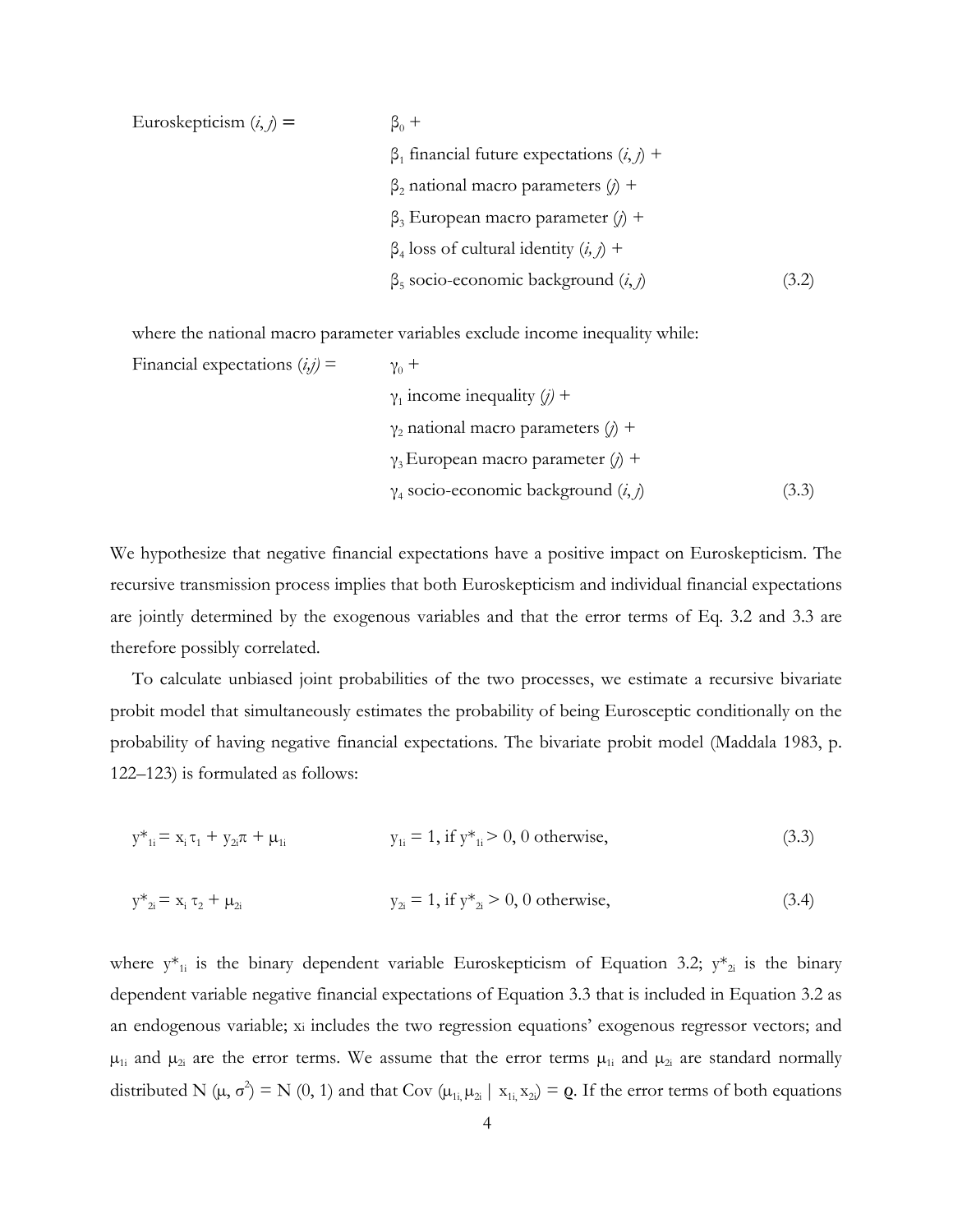Euroskepticism  $(i, j)$  =  $\beta_0 +$  $β_1$  financial future expectations  $(i, j)$  + β<sup>2</sup> national macro parameters (*j*) + β<sup>3</sup> European macro parameter (*j*) +  $β<sub>4</sub>$  loss of cultural identity  $(i, j)$  +  $\beta_5$  socio-economic background  $(i, j)$  (3.2)

where the national macro parameter variables exclude income inequality while:

Financial expectations  $(i, j)$  =  $\gamma_0$  +  $γ<sub>1</sub>$  income inequality  $(j)$  + γ<sup>2</sup> national macro parameters (*j*) + γ3 European macro parameter (*j*) +  $\gamma_4$  socio-economic background  $(i, j)$  (3.3)

We hypothesize that negative financial expectations have a positive impact on Euroskepticism. The recursive transmission process implies that both Euroskepticism and individual financial expectations are jointly determined by the exogenous variables and that the error terms of Eq. 3.2 and 3.3 are therefore possibly correlated.

To calculate unbiased joint probabilities of the two processes, we estimate a recursive bivariate probit model that simultaneously estimates the probability of being Eurosceptic conditionally on the probability of having negative financial expectations. The bivariate probit model (Maddala 1983, p. 122–123) is formulated as follows:

$$
y^*_{1i} = x_i \tau_1 + y_{2i} \tau + \mu_{1i} \qquad y_{1i} = 1, \text{ if } y^*_{1i} > 0, 0 \text{ otherwise,}
$$
 (3.3)

$$
y^*_{2i} = x_i \tau_2 + \mu_{2i} \qquad y_{2i} = 1, \text{ if } y^*_{2i} > 0, 0 \text{ otherwise,}
$$
 (3.4)

where  $y^*_{1i}$  is the binary dependent variable Euroskepticism of Equation 3.2;  $y^*_{2i}$  is the binary dependent variable negative financial expectations of Equation 3.3 that is included in Equation 3.2 as an endogenous variable; xi includes the two regression equations' exogenous regressor vectors; and  $\mu_{1i}$  and  $\mu_{2i}$  are the error terms. We assume that the error terms  $\mu_{1i}$  and  $\mu_{2i}$  are standard normally distributed N ( $\mu$ ,  $\sigma^2$ ) = N (0, 1) and that Cov ( $\mu_{1i}$ ,  $\mu_{2i}$  |  $x_{1i}$ ,  $x_{2i}$ ) = **Q**. If the error terms of both equations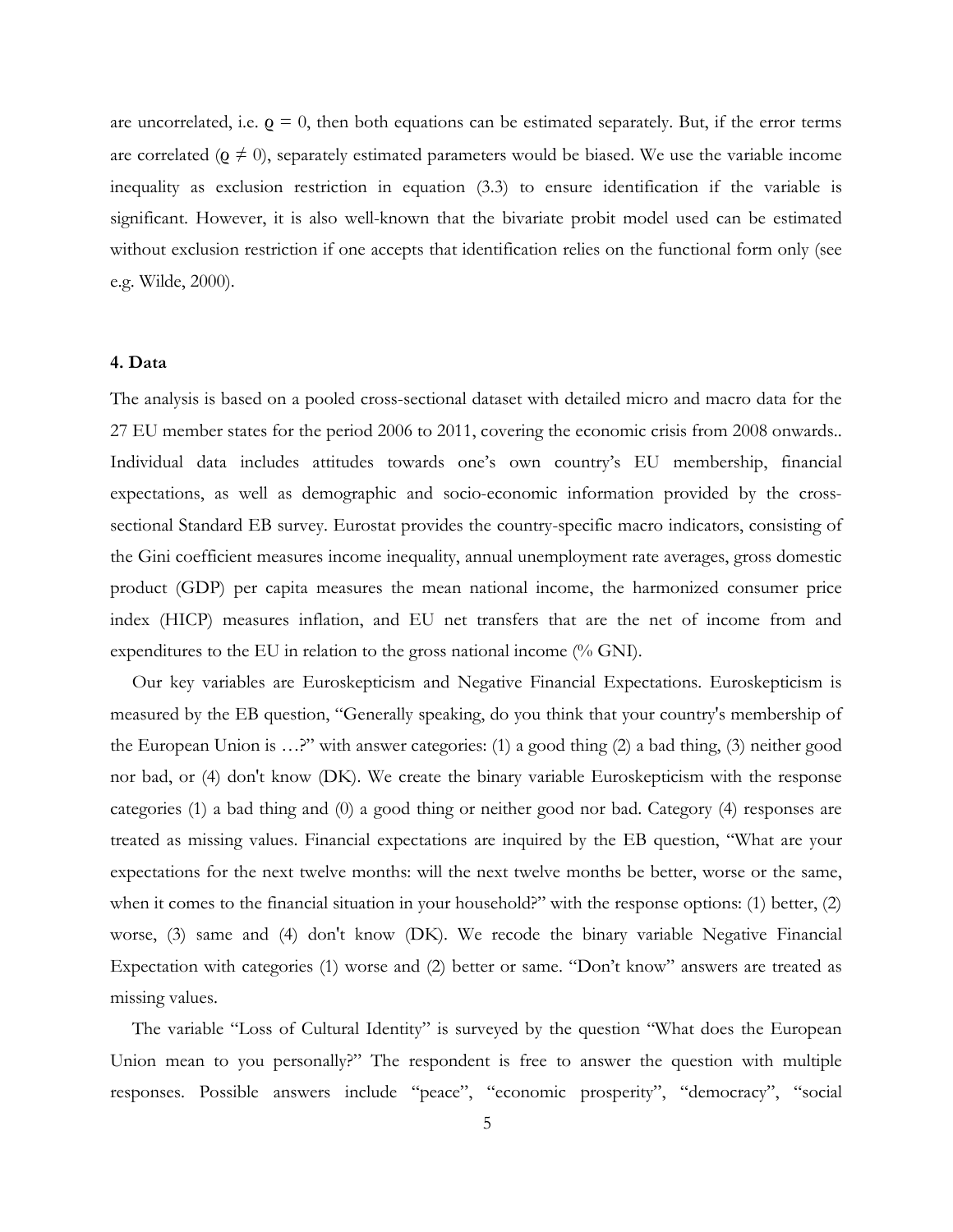are uncorrelated, i.e.  $\varrho = 0$ , then both equations can be estimated separately. But, if the error terms are correlated ( $\varrho \neq 0$ ), separately estimated parameters would be biased. We use the variable income inequality as exclusion restriction in equation (3.3) to ensure identification if the variable is significant. However, it is also well-known that the bivariate probit model used can be estimated without exclusion restriction if one accepts that identification relies on the functional form only (see e.g. Wilde, 2000).

#### **4. Data**

The analysis is based on a pooled cross-sectional dataset with detailed micro and macro data for the 27 EU member states for the period 2006 to 2011, covering the economic crisis from 2008 onwards.. Individual data includes attitudes towards one's own country's EU membership, financial expectations, as well as demographic and socio-economic information provided by the crosssectional Standard EB survey. Eurostat provides the country-specific macro indicators, consisting of the Gini coefficient measures income inequality, annual unemployment rate averages, gross domestic product (GDP) per capita measures the mean national income, the harmonized consumer price index (HICP) measures inflation, and EU net transfers that are the net of income from and expenditures to the EU in relation to the gross national income (% GNI).

Our key variables are Euroskepticism and Negative Financial Expectations. Euroskepticism is measured by the EB question, "Generally speaking, do you think that your country's membership of the European Union is …?" with answer categories: (1) a good thing (2) a bad thing, (3) neither good nor bad, or (4) don't know (DK). We create the binary variable Euroskepticism with the response categories (1) a bad thing and (0) a good thing or neither good nor bad. Category (4) responses are treated as missing values. Financial expectations are inquired by the EB question, "What are your expectations for the next twelve months: will the next twelve months be better, worse or the same, when it comes to the financial situation in your household?" with the response options: (1) better, (2) worse, (3) same and (4) don't know (DK). We recode the binary variable Negative Financial Expectation with categories (1) worse and (2) better or same. "Don't know" answers are treated as missing values.

The variable "Loss of Cultural Identity" is surveyed by the question "What does the European Union mean to you personally?" The respondent is free to answer the question with multiple responses. Possible answers include "peace", "economic prosperity", "democracy", "social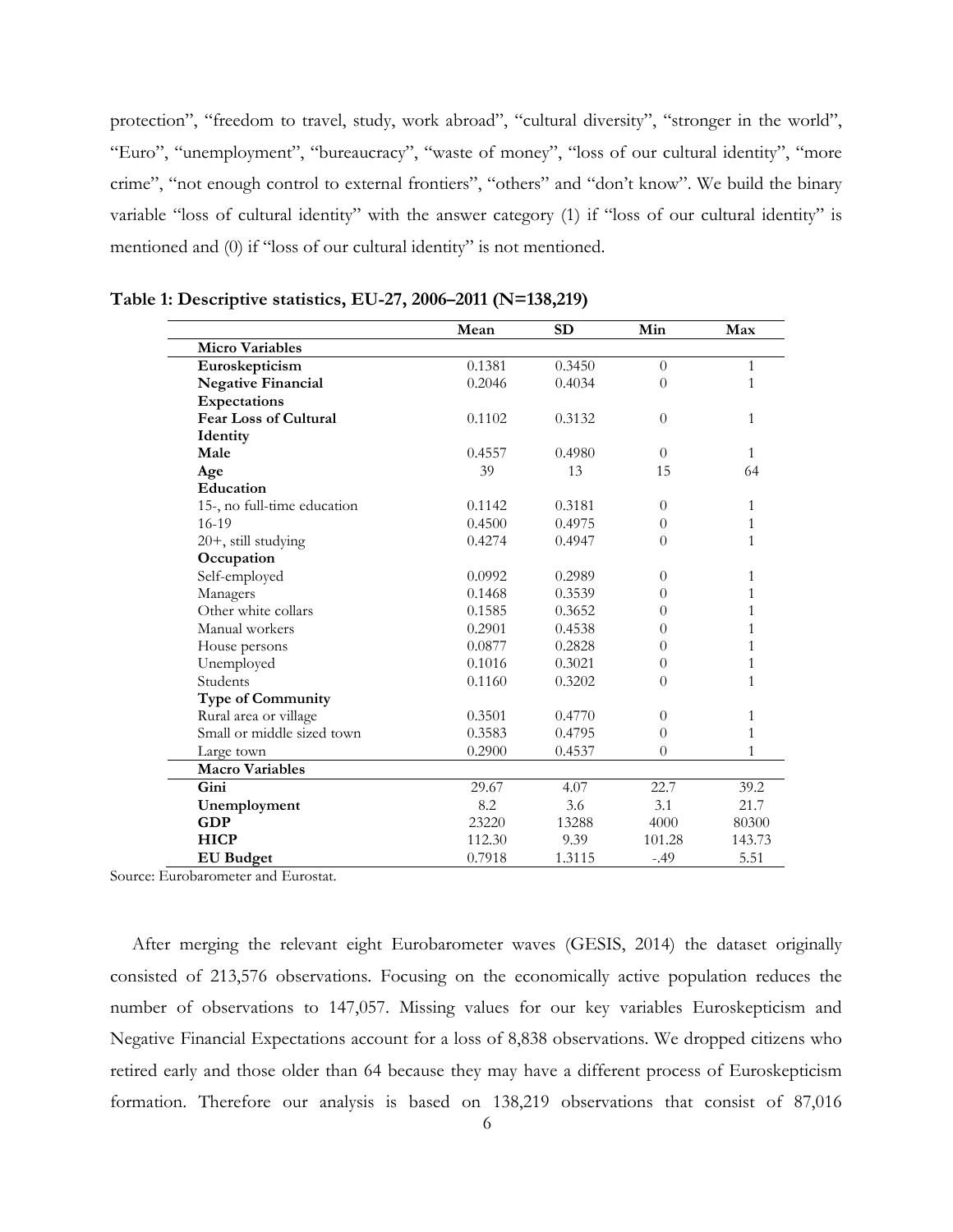protection", "freedom to travel, study, work abroad", "cultural diversity", "stronger in the world", "Euro", "unemployment", "bureaucracy", "waste of money", "loss of our cultural identity", "more crime", "not enough control to external frontiers", "others" and "don't know". We build the binary variable "loss of cultural identity" with the answer category (1) if "loss of our cultural identity" is mentioned and (0) if "loss of our cultural identity" is not mentioned.

|                              | Mean   | <b>SD</b> | Min            | Max          |
|------------------------------|--------|-----------|----------------|--------------|
| <b>Micro Variables</b>       |        |           |                |              |
| Euroskepticism               | 0.1381 | 0.3450    | $\theta$       | $\mathbf{1}$ |
| <b>Negative Financial</b>    | 0.2046 | 0.4034    | $\theta$       | 1            |
| Expectations                 |        |           |                |              |
| <b>Fear Loss of Cultural</b> | 0.1102 | 0.3132    | $\theta$       | $\mathbf{1}$ |
| Identity                     |        |           |                |              |
| Male                         | 0.4557 | 0.4980    | $\theta$       | 1            |
| Age                          | 39     | 13        | 15             | 64           |
| Education                    |        |           |                |              |
| 15-, no full-time education  | 0.1142 | 0.3181    | $\Omega$       | 1            |
| $16-19$                      | 0.4500 | 0.4975    | $\overline{0}$ | 1            |
| 20+, still studying          | 0.4274 | 0.4947    | $\overline{0}$ | 1            |
| Occupation                   |        |           |                |              |
| Self-employed                | 0.0992 | 0.2989    | $\theta$       | 1            |
| Managers                     | 0.1468 | 0.3539    | 0              | 1            |
| Other white collars          | 0.1585 | 0.3652    | 0              | 1            |
| Manual workers               | 0.2901 | 0.4538    | $\theta$       | 1            |
| House persons                | 0.0877 | 0.2828    | $\theta$       | 1            |
| Unemployed                   | 0.1016 | 0.3021    | $\theta$       | 1            |
| Students                     | 0.1160 | 0.3202    | $\theta$       | 1            |
| <b>Type of Community</b>     |        |           |                |              |
| Rural area or village        | 0.3501 | 0.4770    | $\theta$       | 1            |
| Small or middle sized town   | 0.3583 | 0.4795    | $\overline{0}$ | 1            |
| Large town                   | 0.2900 | 0.4537    | $\theta$       | 1            |
| <b>Macro Variables</b>       |        |           |                |              |
| Gini                         | 29.67  | 4.07      | 22.7           | 39.2         |
| Unemployment                 | 8.2    | 3.6       | 3.1            | 21.7         |
| <b>GDP</b>                   | 23220  | 13288     | 4000           | 80300        |
| <b>HICP</b>                  | 112.30 | 9.39      | 101.28         | 143.73       |
| <b>EU</b> Budget             | 0.7918 | 1.3115    | $-.49$         | 5.51         |

**Table 1: Descriptive statistics, EU-27, 2006–2011 (N=138,219)**

Source: Eurobarometer and Eurostat.

After merging the relevant eight Eurobarometer waves (GESIS, 2014) the dataset originally consisted of 213,576 observations. Focusing on the economically active population reduces the number of observations to 147,057. Missing values for our key variables Euroskepticism and Negative Financial Expectations account for a loss of 8,838 observations. We dropped citizens who retired early and those older than 64 because they may have a different process of Euroskepticism formation. Therefore our analysis is based on 138,219 observations that consist of 87,016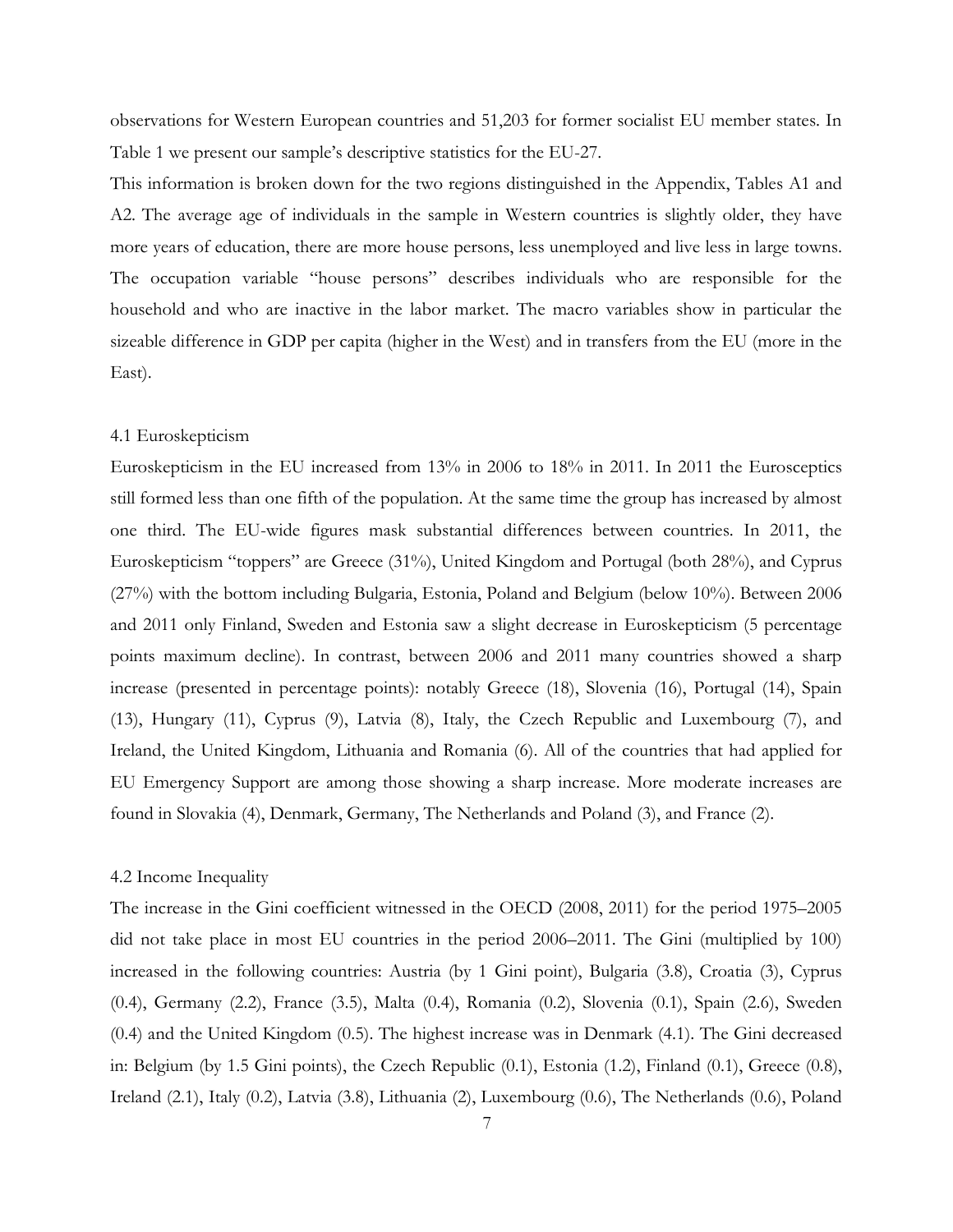observations for Western European countries and 51,203 for former socialist EU member states. In Table 1 we present our sample's descriptive statistics for the EU-27.

This information is broken down for the two regions distinguished in the Appendix, Tables A1 and A2. The average age of individuals in the sample in Western countries is slightly older, they have more years of education, there are more house persons, less unemployed and live less in large towns. The occupation variable "house persons" describes individuals who are responsible for the household and who are inactive in the labor market. The macro variables show in particular the sizeable difference in GDP per capita (higher in the West) and in transfers from the EU (more in the East).

#### 4.1 Euroskepticism

Euroskepticism in the EU increased from 13% in 2006 to 18% in 2011. In 2011 the Eurosceptics still formed less than one fifth of the population. At the same time the group has increased by almost one third. The EU-wide figures mask substantial differences between countries. In 2011, the Euroskepticism "toppers" are Greece (31%), United Kingdom and Portugal (both 28%), and Cyprus (27%) with the bottom including Bulgaria, Estonia, Poland and Belgium (below 10%). Between 2006 and 2011 only Finland, Sweden and Estonia saw a slight decrease in Euroskepticism (5 percentage points maximum decline). In contrast, between 2006 and 2011 many countries showed a sharp increase (presented in percentage points): notably Greece (18), Slovenia (16), Portugal (14), Spain (13), Hungary (11), Cyprus (9), Latvia (8), Italy, the Czech Republic and Luxembourg (7), and Ireland, the United Kingdom, Lithuania and Romania (6). All of the countries that had applied for EU Emergency Support are among those showing a sharp increase. More moderate increases are found in Slovakia (4), Denmark, Germany, The Netherlands and Poland (3), and France (2).

#### 4.2 Income Inequality

The increase in the Gini coefficient witnessed in the OECD (2008, 2011) for the period 1975–2005 did not take place in most EU countries in the period 2006–2011. The Gini (multiplied by 100) increased in the following countries: Austria (by 1 Gini point), Bulgaria (3.8), Croatia (3), Cyprus (0.4), Germany (2.2), France (3.5), Malta (0.4), Romania (0.2), Slovenia (0.1), Spain (2.6), Sweden (0.4) and the United Kingdom (0.5). The highest increase was in Denmark (4.1). The Gini decreased in: Belgium (by 1.5 Gini points), the Czech Republic (0.1), Estonia (1.2), Finland (0.1), Greece (0.8), Ireland (2.1), Italy (0.2), Latvia (3.8), Lithuania (2), Luxembourg (0.6), The Netherlands (0.6), Poland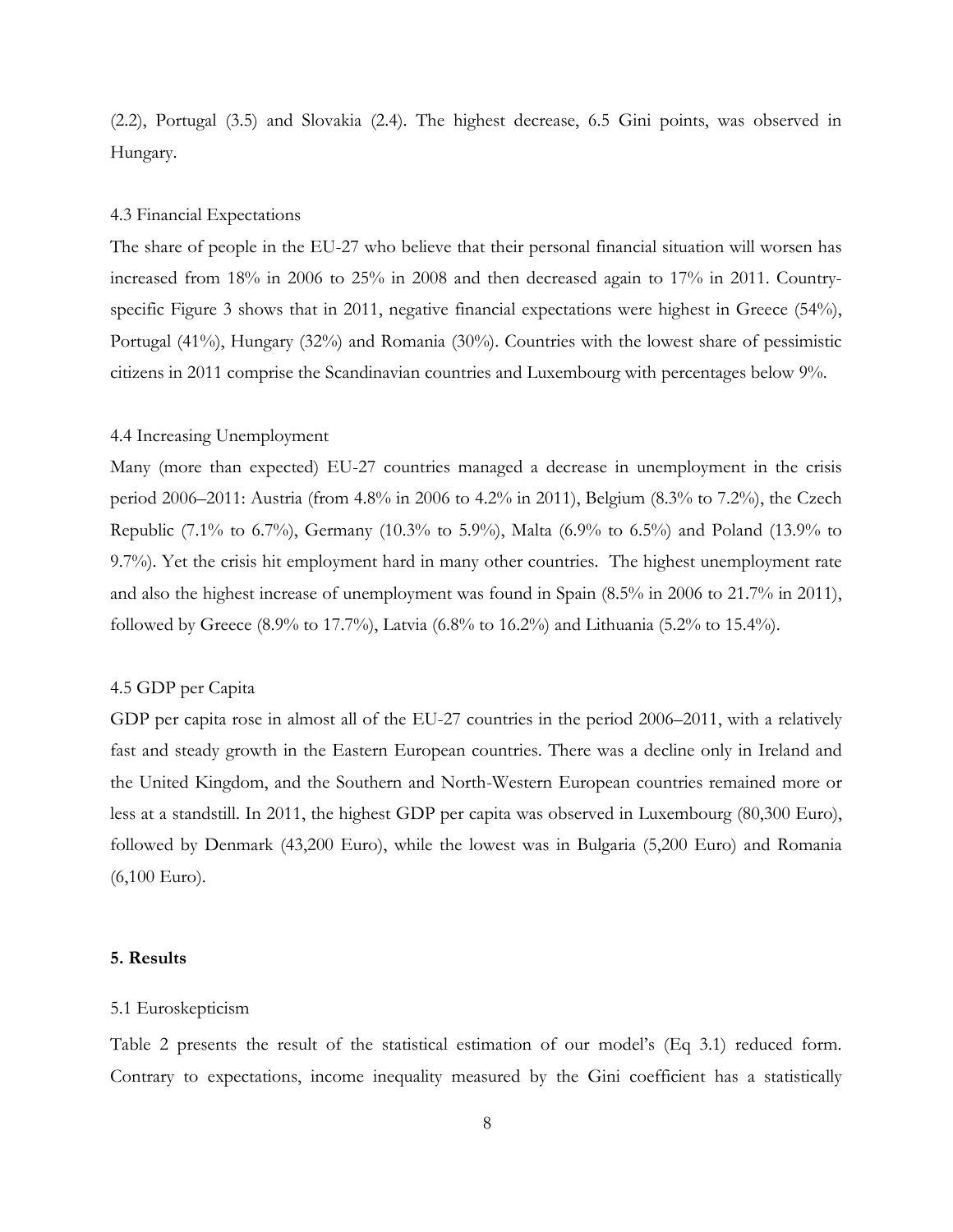(2.2), Portugal (3.5) and Slovakia (2.4). The highest decrease, 6.5 Gini points, was observed in Hungary.

#### 4.3 Financial Expectations

The share of people in the EU-27 who believe that their personal financial situation will worsen has increased from 18% in 2006 to 25% in 2008 and then decreased again to 17% in 2011. Countryspecific Figure 3 shows that in 2011, negative financial expectations were highest in Greece (54%), Portugal (41%), Hungary (32%) and Romania (30%). Countries with the lowest share of pessimistic citizens in 2011 comprise the Scandinavian countries and Luxembourg with percentages below 9%.

#### 4.4 Increasing Unemployment

Many (more than expected) EU-27 countries managed a decrease in unemployment in the crisis period 2006–2011: Austria (from 4.8% in 2006 to 4.2% in 2011), Belgium (8.3% to 7.2%), the Czech Republic (7.1% to 6.7%), Germany (10.3% to 5.9%), Malta (6.9% to 6.5%) and Poland (13.9% to 9.7%). Yet the crisis hit employment hard in many other countries. The highest unemployment rate and also the highest increase of unemployment was found in Spain (8.5% in 2006 to 21.7% in 2011), followed by Greece (8.9% to 17.7%), Latvia (6.8% to 16.2%) and Lithuania (5.2% to 15.4%).

#### 4.5 GDP per Capita

GDP per capita rose in almost all of the EU-27 countries in the period 2006–2011, with a relatively fast and steady growth in the Eastern European countries. There was a decline only in Ireland and the United Kingdom, and the Southern and North-Western European countries remained more or less at a standstill. In 2011, the highest GDP per capita was observed in Luxembourg (80,300 Euro), followed by Denmark (43,200 Euro), while the lowest was in Bulgaria (5,200 Euro) and Romania (6,100 Euro).

#### **5. Results**

#### 5.1 Euroskepticism

Table 2 presents the result of the statistical estimation of our model's (Eq 3.1) reduced form. Contrary to expectations, income inequality measured by the Gini coefficient has a statistically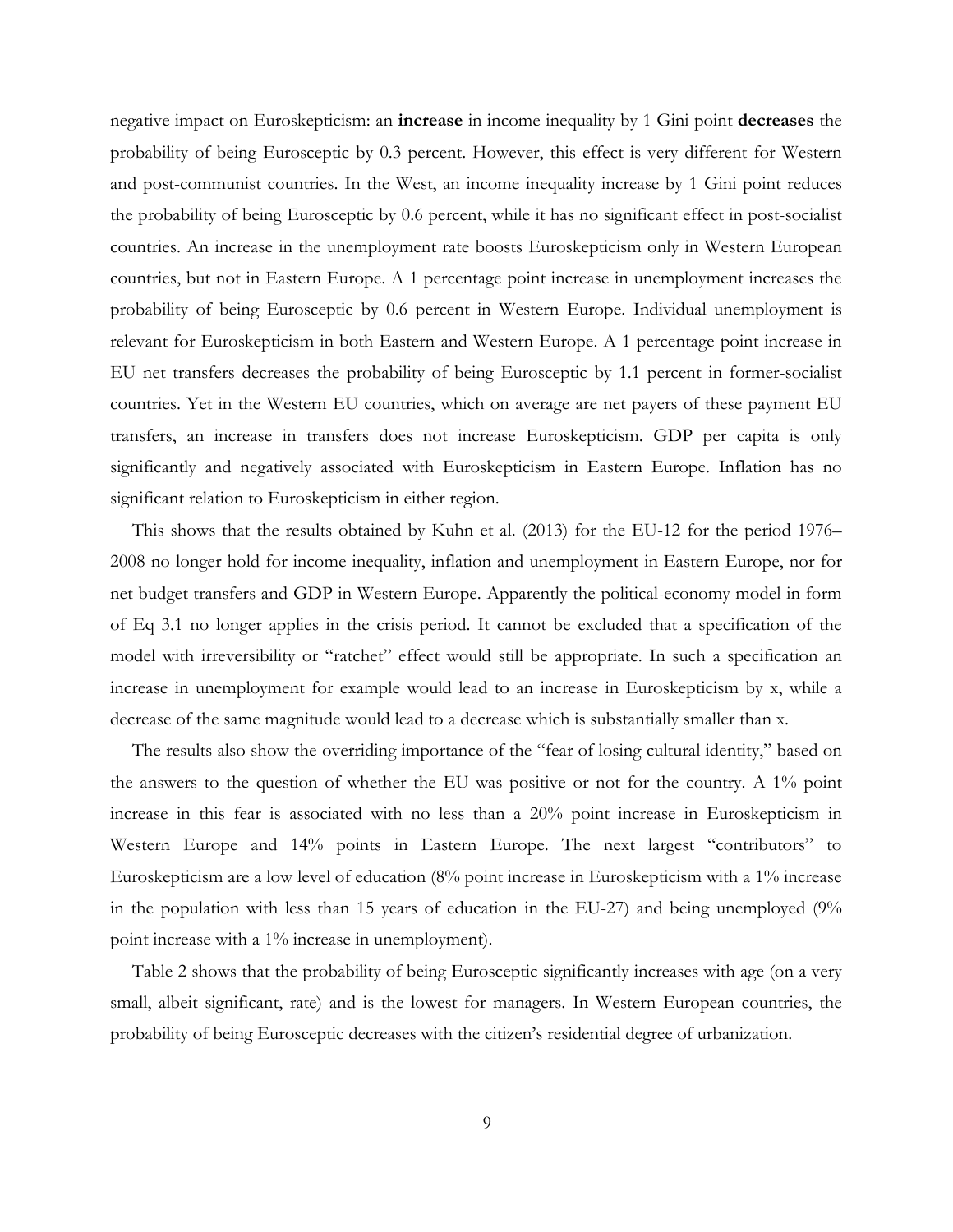negative impact on Euroskepticism: an **increase** in income inequality by 1 Gini point **decreases** the probability of being Eurosceptic by 0.3 percent. However, this effect is very different for Western and post-communist countries. In the West, an income inequality increase by 1 Gini point reduces the probability of being Eurosceptic by 0.6 percent, while it has no significant effect in post-socialist countries. An increase in the unemployment rate boosts Euroskepticism only in Western European countries, but not in Eastern Europe. A 1 percentage point increase in unemployment increases the probability of being Eurosceptic by 0.6 percent in Western Europe. Individual unemployment is relevant for Euroskepticism in both Eastern and Western Europe. A 1 percentage point increase in EU net transfers decreases the probability of being Eurosceptic by 1.1 percent in former-socialist countries. Yet in the Western EU countries, which on average are net payers of these payment EU transfers, an increase in transfers does not increase Euroskepticism. GDP per capita is only significantly and negatively associated with Euroskepticism in Eastern Europe. Inflation has no significant relation to Euroskepticism in either region.

This shows that the results obtained by Kuhn et al. (2013) for the EU-12 for the period 1976– 2008 no longer hold for income inequality, inflation and unemployment in Eastern Europe, nor for net budget transfers and GDP in Western Europe. Apparently the political-economy model in form of Eq 3.1 no longer applies in the crisis period. It cannot be excluded that a specification of the model with irreversibility or "ratchet" effect would still be appropriate. In such a specification an increase in unemployment for example would lead to an increase in Euroskepticism by x, while a decrease of the same magnitude would lead to a decrease which is substantially smaller than x.

The results also show the overriding importance of the "fear of losing cultural identity," based on the answers to the question of whether the EU was positive or not for the country. A 1% point increase in this fear is associated with no less than a 20% point increase in Euroskepticism in Western Europe and 14% points in Eastern Europe. The next largest "contributors" to Euroskepticism are a low level of education (8% point increase in Euroskepticism with a 1% increase in the population with less than 15 years of education in the EU-27) and being unemployed (9% point increase with a 1% increase in unemployment).

Table 2 shows that the probability of being Eurosceptic significantly increases with age (on a very small, albeit significant, rate) and is the lowest for managers. In Western European countries, the probability of being Eurosceptic decreases with the citizen's residential degree of urbanization.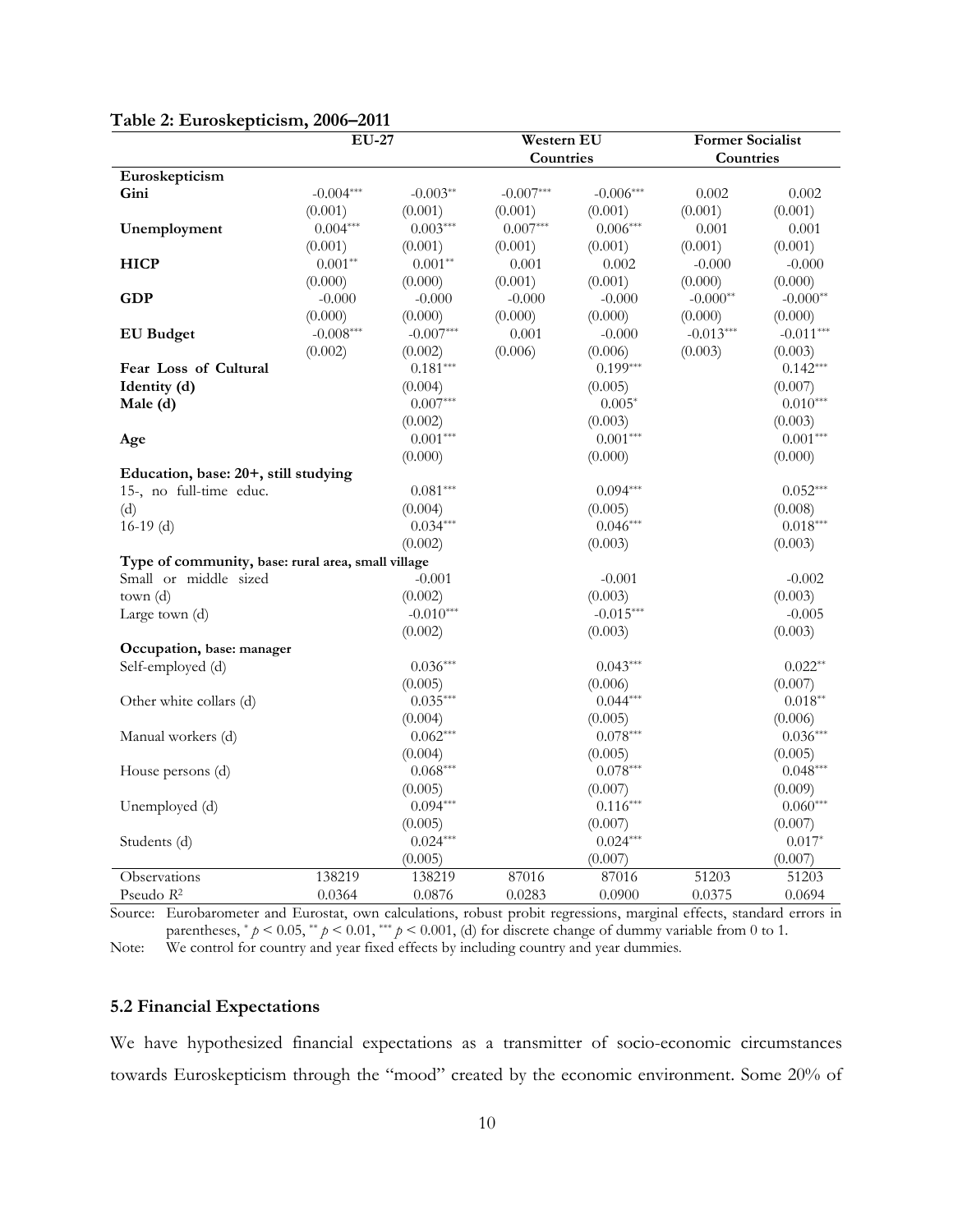|                                                    | <b>EU-27</b> |             | Western EU  |             | <b>Former Socialist</b> |             |
|----------------------------------------------------|--------------|-------------|-------------|-------------|-------------------------|-------------|
|                                                    |              |             | Countries   |             | Countries               |             |
| Euroskepticism                                     |              |             |             |             |                         |             |
| Gini                                               | $-0.004***$  | $-0.003**$  | $-0.007***$ | $-0.006***$ | 0.002                   | 0.002       |
|                                                    | (0.001)      | (0.001)     | (0.001)     | (0.001)     | (0.001)                 | (0.001)     |
| Unemployment                                       | $0.004***$   | $0.003***$  | $0.007***$  | $0.006***$  | 0.001                   | 0.001       |
|                                                    | (0.001)      | (0.001)     | (0.001)     | (0.001)     | (0.001)                 | (0.001)     |
| <b>HICP</b>                                        | $0.001**$    | $0.001**$   | 0.001       | 0.002       | $-0.000$                | $-0.000$    |
|                                                    | (0.000)      | (0.000)     | (0.001)     | (0.001)     | (0.000)                 | (0.000)     |
| <b>GDP</b>                                         | $-0.000$     | $-0.000$    | $-0.000$    | $-0.000$    | $-0.000**$              | $-0.000**$  |
|                                                    | (0.000)      | (0.000)     | (0.000)     | (0.000)     | (0.000)                 | (0.000)     |
| <b>EU</b> Budget                                   | $-0.008***$  | $-0.007***$ | 0.001       | $-0.000$    | $-0.013***$             | $-0.011***$ |
|                                                    | (0.002)      | (0.002)     | (0.006)     | (0.006)     | (0.003)                 | (0.003)     |
| Fear Loss of Cultural                              |              | $0.181***$  |             | $0.199***$  |                         | $0.142***$  |
| Identity (d)                                       |              | (0.004)     |             | (0.005)     |                         | (0.007)     |
| Male (d)                                           |              | $0.007***$  |             | $0.005*$    |                         | $0.010***$  |
|                                                    |              | (0.002)     |             | (0.003)     |                         | (0.003)     |
| Age                                                |              | $0.001***$  |             | $0.001***$  |                         | $0.001***$  |
|                                                    |              | (0.000)     |             | (0.000)     |                         | (0.000)     |
| Education, base: 20+, still studying               |              |             |             |             |                         |             |
| 15-, no full-time educ.                            |              | $0.081***$  |             | $0.094***$  |                         | $0.052***$  |
| (d)                                                |              | (0.004)     |             | (0.005)     |                         | (0.008)     |
| $16-19$ (d)                                        |              | $0.034***$  |             | $0.046***$  |                         | $0.018***$  |
|                                                    |              | (0.002)     |             | (0.003)     |                         | (0.003)     |
| Type of community, base: rural area, small village |              |             |             |             |                         |             |
| Small or middle sized                              |              | $-0.001$    |             | $-0.001$    |                         | $-0.002$    |
| town (d)                                           |              | (0.002)     |             | (0.003)     |                         | (0.003)     |
| Large town (d)                                     |              | $-0.010***$ |             | $-0.015***$ |                         | $-0.005$    |
|                                                    |              | (0.002)     |             | (0.003)     |                         | (0.003)     |
| Occupation, base: manager                          |              |             |             |             |                         |             |
| Self-employed (d)                                  |              | $0.036***$  |             | $0.043***$  |                         | $0.022**$   |
|                                                    |              | (0.005)     |             | (0.006)     |                         | (0.007)     |
| Other white collars (d)                            |              | $0.035***$  |             | $0.044***$  |                         | $0.018**$   |
|                                                    |              | (0.004)     |             | (0.005)     |                         | (0.006)     |
| Manual workers (d)                                 |              | $0.062***$  |             | $0.078***$  |                         | $0.036***$  |
|                                                    |              | (0.004)     |             | (0.005)     |                         | (0.005)     |
| House persons (d)                                  |              | $0.068***$  |             | $0.078***$  |                         | $0.048***$  |
|                                                    |              | (0.005)     |             | (0.007)     |                         | (0.009)     |
| Unemployed (d)                                     |              | $0.094***$  |             | $0.116***$  |                         | $0.060***$  |
|                                                    |              | (0.005)     |             | (0.007)     |                         | (0.007)     |
| Students (d)                                       |              | $0.024***$  |             | $0.024***$  |                         | $0.017*$    |
|                                                    |              | (0.005)     |             | (0.007)     |                         | (0.007)     |
| Observations                                       | 138219       | 138219      | 87016       | 87016       | 51203                   | 51203       |
| Pseudo R <sup>2</sup>                              | 0.0364       | 0.0876      | 0.0283      | 0.0900      | 0.0375                  | 0.0694      |

#### **Table 2: Euroskepticism, 2006–2011**

Source: Eurobarometer and Eurostat, own calculations, robust probit regressions, marginal effects, standard errors in parentheses,  $* p < 0.05$ ,  $* p < 0.01$ ,  $** p < 0.001$ , (d) for discrete change of dummy variable from 0 to 1. Note: We control for country and year fixed effects by including country and year dummies.

#### **5.2 Financial Expectations**

We have hypothesized financial expectations as a transmitter of socio-economic circumstances towards Euroskepticism through the "mood" created by the economic environment. Some 20% of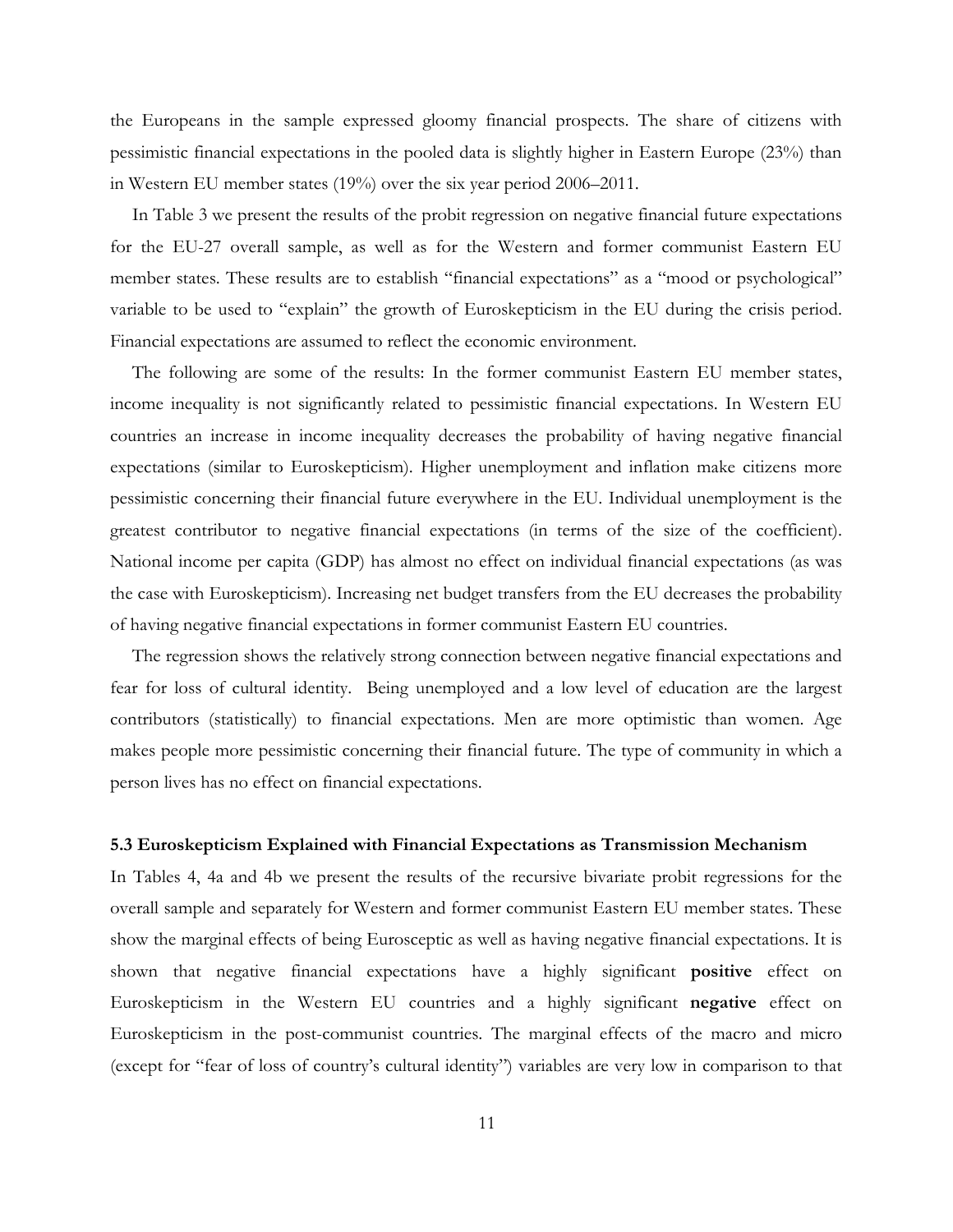the Europeans in the sample expressed gloomy financial prospects. The share of citizens with pessimistic financial expectations in the pooled data is slightly higher in Eastern Europe (23%) than in Western EU member states (19%) over the six year period 2006–2011.

In Table 3 we present the results of the probit regression on negative financial future expectations for the EU-27 overall sample, as well as for the Western and former communist Eastern EU member states. These results are to establish "financial expectations" as a "mood or psychological" variable to be used to "explain" the growth of Euroskepticism in the EU during the crisis period. Financial expectations are assumed to reflect the economic environment.

The following are some of the results: In the former communist Eastern EU member states, income inequality is not significantly related to pessimistic financial expectations. In Western EU countries an increase in income inequality decreases the probability of having negative financial expectations (similar to Euroskepticism). Higher unemployment and inflation make citizens more pessimistic concerning their financial future everywhere in the EU. Individual unemployment is the greatest contributor to negative financial expectations (in terms of the size of the coefficient). National income per capita (GDP) has almost no effect on individual financial expectations (as was the case with Euroskepticism). Increasing net budget transfers from the EU decreases the probability of having negative financial expectations in former communist Eastern EU countries.

The regression shows the relatively strong connection between negative financial expectations and fear for loss of cultural identity. Being unemployed and a low level of education are the largest contributors (statistically) to financial expectations. Men are more optimistic than women. Age makes people more pessimistic concerning their financial future. The type of community in which a person lives has no effect on financial expectations.

#### **5.3 Euroskepticism Explained with Financial Expectations as Transmission Mechanism**

In Tables 4, 4a and 4b we present the results of the recursive bivariate probit regressions for the overall sample and separately for Western and former communist Eastern EU member states. These show the marginal effects of being Eurosceptic as well as having negative financial expectations. It is shown that negative financial expectations have a highly significant **positive** effect on Euroskepticism in the Western EU countries and a highly significant **negative** effect on Euroskepticism in the post-communist countries. The marginal effects of the macro and micro (except for "fear of loss of country's cultural identity") variables are very low in comparison to that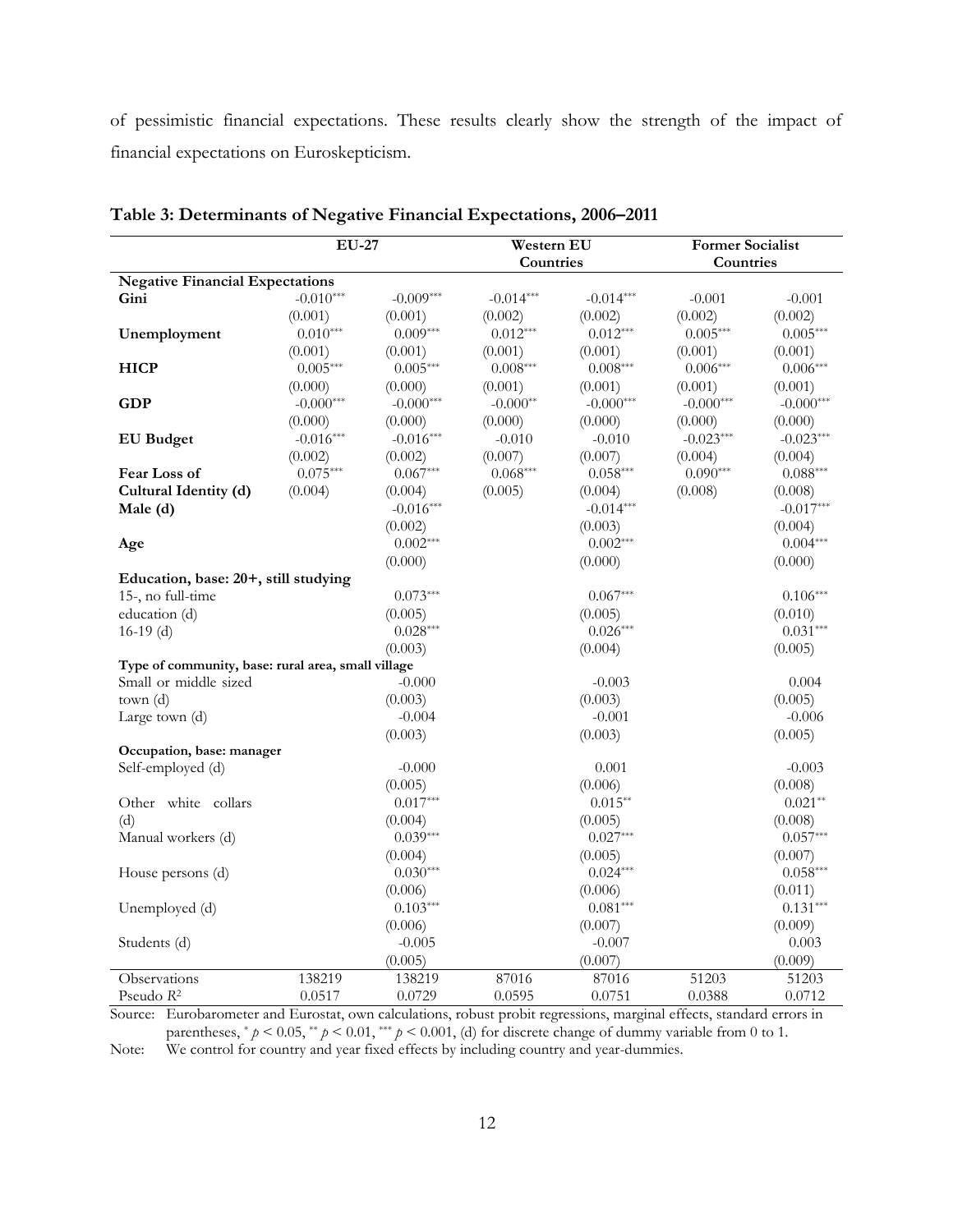of pessimistic financial expectations. These results clearly show the strength of the impact of financial expectations on Euroskepticism.

|                                                    | <b>EU-27</b> |             | Western EU  |             | <b>Former Socialist</b> |             |
|----------------------------------------------------|--------------|-------------|-------------|-------------|-------------------------|-------------|
|                                                    |              |             | Countries   |             | Countries               |             |
| <b>Negative Financial Expectations</b>             |              |             |             |             |                         |             |
| Gini                                               | $-0.010***$  | $-0.009***$ | $-0.014***$ | $-0.014***$ | $-0.001$                | $-0.001$    |
|                                                    | (0.001)      | (0.001)     | (0.002)     | (0.002)     | (0.002)                 | (0.002)     |
| Unemployment                                       | $0.010***$   | $0.009***$  | $0.012***$  | $0.012***$  | $0.005***$              | $0.005***$  |
|                                                    | (0.001)      | (0.001)     | (0.001)     | (0.001)     | (0.001)                 | (0.001)     |
| <b>HICP</b>                                        | $0.005***$   | $0.005***$  | $0.008***$  | $0.008***$  | $0.006***$              | $0.006***$  |
|                                                    | (0.000)      | (0.000)     | (0.001)     | (0.001)     | (0.001)                 | (0.001)     |
| GDP                                                | $-0.000***$  | $-0.000***$ | $-0.000**$  | $-0.000***$ | $-0.000***$             | $-0.000***$ |
|                                                    | (0.000)      | (0.000)     | (0.000)     | (0.000)     | (0.000)                 | (0.000)     |
| <b>EU</b> Budget                                   | $-0.016***$  | $-0.016***$ | $-0.010$    | $-0.010$    | $-0.023***$             | $-0.023***$ |
|                                                    | (0.002)      | (0.002)     | (0.007)     | (0.007)     | (0.004)                 | (0.004)     |
| Fear Loss of                                       | $0.075***$   | $0.067***$  | $0.068***$  | $0.058***$  | $0.090***$              | $0.088***$  |
| Cultural Identity (d)                              | (0.004)      | (0.004)     | (0.005)     | (0.004)     | (0.008)                 | (0.008)     |
| Male (d)                                           |              | $-0.016***$ |             | $-0.014***$ |                         | $-0.017***$ |
|                                                    |              | (0.002)     |             | (0.003)     |                         | (0.004)     |
| Age                                                |              | $0.002***$  |             | $0.002***$  |                         | $0.004***$  |
|                                                    |              | (0.000)     |             | (0.000)     |                         | (0.000)     |
| Education, base: 20+, still studying               |              |             |             |             |                         |             |
| 15-, no full-time                                  |              | $0.073***$  |             | $0.067***$  |                         | $0.106***$  |
| education (d)                                      |              | (0.005)     |             | (0.005)     |                         | (0.010)     |
| $16-19$ (d)                                        |              | $0.028***$  |             | $0.026***$  |                         | $0.031***$  |
|                                                    |              | (0.003)     |             | (0.004)     |                         | (0.005)     |
| Type of community, base: rural area, small village |              |             |             |             |                         |             |
| Small or middle sized                              |              | $-0.000$    |             | $-0.003$    |                         | 0.004       |
| town (d)                                           |              | (0.003)     |             | (0.003)     |                         | (0.005)     |
| Large town (d)                                     |              | $-0.004$    |             | $-0.001$    |                         | $-0.006$    |
|                                                    |              | (0.003)     |             | (0.003)     |                         | (0.005)     |
| Occupation, base: manager                          |              |             |             |             |                         |             |
| Self-employed (d)                                  |              | $-0.000$    |             | 0.001       |                         | $-0.003$    |
|                                                    |              | (0.005)     |             | (0.006)     |                         | (0.008)     |
| Other white collars                                |              | $0.017***$  |             | $0.015**$   |                         | $0.021**$   |
| (d)                                                |              | (0.004)     |             | (0.005)     |                         | (0.008)     |
| Manual workers (d)                                 |              | $0.039***$  |             | $0.027***$  |                         | $0.057***$  |
|                                                    |              | (0.004)     |             | (0.005)     |                         | (0.007)     |
| House persons (d)                                  |              | $0.030***$  |             | $0.024***$  |                         | $0.058***$  |
|                                                    |              | (0.006)     |             | (0.006)     |                         | (0.011)     |
| Unemployed (d)                                     |              | $0.103***$  |             | $0.081***$  |                         | $0.131***$  |
|                                                    |              | (0.006)     |             | (0.007)     |                         | (0.009)     |
| Students (d)                                       |              | $-0.005$    |             | $-0.007$    |                         | 0.003       |
|                                                    |              | (0.005)     |             | (0.007)     |                         | (0.009)     |
| Observations                                       | 138219       | 138219      | 87016       | 87016       | 51203                   | 51203       |
| Pseudo $R^2$                                       | 0.0517       | 0.0729      | 0.0595      | 0.0751      | 0.0388                  | 0.0712      |

**Table 3: Determinants of Negative Financial Expectations, 2006–2011**

Source: Eurobarometer and Eurostat, own calculations, robust probit regressions, marginal effects, standard errors in parentheses,  $* p < 0.05$ ,  $* p < 0.01$ ,  $** p < 0.001$ , (d) for discrete change of dummy variable from 0 to 1.

Note: We control for country and year fixed effects by including country and year-dummies.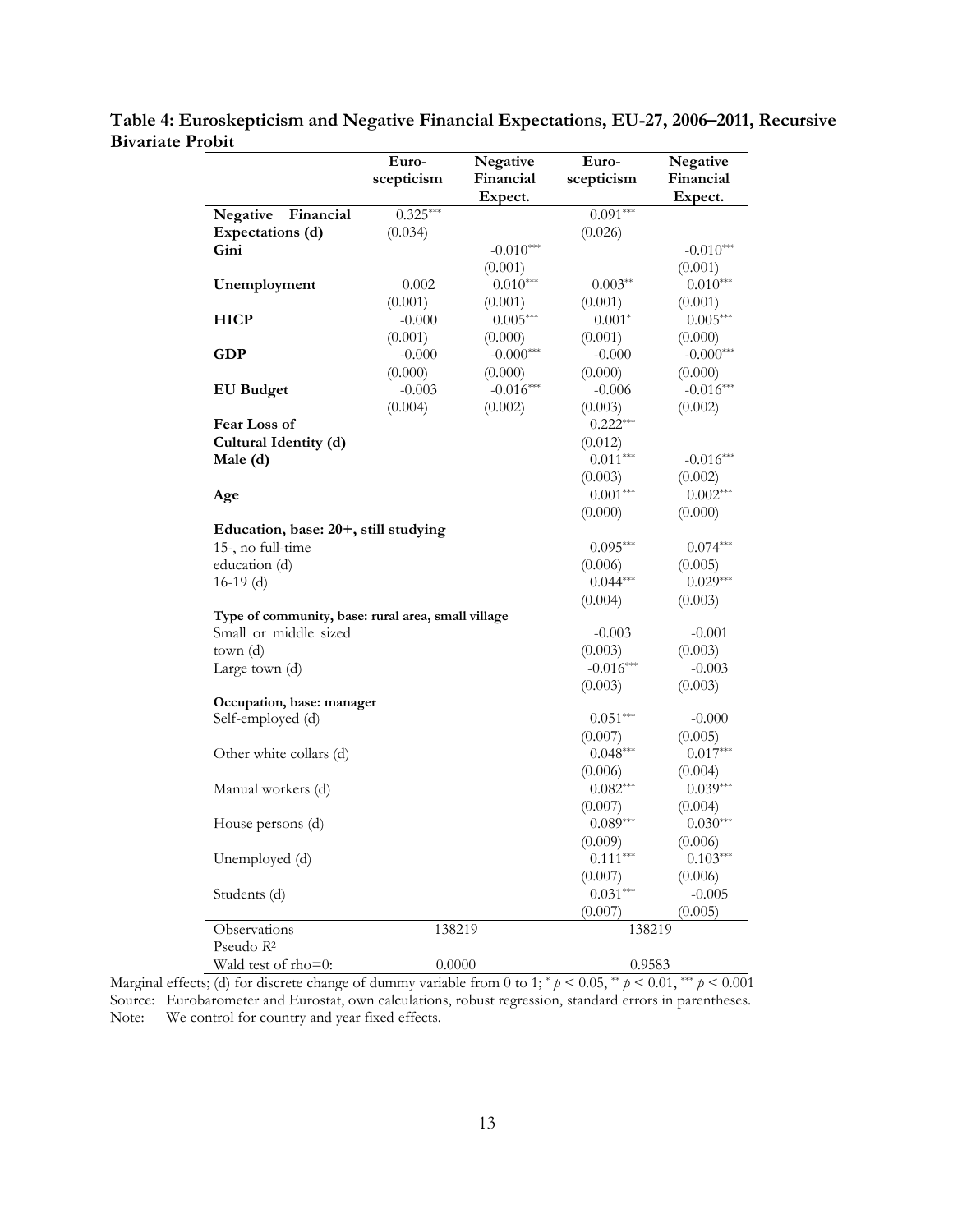|                                                    | Euro-<br>scepticism | Negative<br>Financial<br>Expect. | Euro-<br>scepticism   | Negative<br>Financial<br>Expect. |
|----------------------------------------------------|---------------------|----------------------------------|-----------------------|----------------------------------|
| Negative<br>Financial                              | $0.325***$          |                                  | $0.091***$            |                                  |
| Expectations (d)                                   | (0.034)             |                                  | (0.026)               |                                  |
| Gini                                               |                     | $-0.010***$                      |                       | $-0.010***$                      |
|                                                    |                     | (0.001)                          |                       | (0.001)                          |
| Unemployment                                       | 0.002               | $0.010***$                       | $0.003**$             | $0.010***$                       |
|                                                    | (0.001)             | (0.001)                          | (0.001)               | (0.001)                          |
| <b>HICP</b>                                        | $-0.000$            | $0.005***$                       | $0.001*$              | $0.005***$                       |
|                                                    | (0.001)             | (0.000)                          | (0.001)               | (0.000)                          |
| <b>GDP</b>                                         | $-0.000$            | $-0.000***$                      | $-0.000$              | $-0.000***$                      |
|                                                    | (0.000)             | (0.000)                          | (0.000)               | (0.000)                          |
| <b>EU</b> Budget                                   | $-0.003$            | $-0.016***$                      | $-0.006$              | $-0.016***$                      |
|                                                    | (0.004)             | (0.002)                          | (0.003)               | (0.002)                          |
| Fear Loss of                                       |                     |                                  | $0.222***$            |                                  |
| Cultural Identity (d)                              |                     |                                  | (0.012)               |                                  |
| Male (d)                                           |                     |                                  | $0.011***$            | $-0.016***$                      |
|                                                    |                     |                                  | (0.003)               | (0.002)                          |
| Age                                                |                     |                                  | $0.001***$            | $0.002***$                       |
|                                                    |                     |                                  | (0.000)               | (0.000)                          |
| Education, base: 20+, still studying               |                     |                                  |                       |                                  |
| 15-, no full-time                                  |                     |                                  | $0.095***$            | $0.074***$                       |
| education (d)                                      |                     |                                  | (0.006)               | (0.005)                          |
| $16-19$ (d)                                        |                     |                                  | $0.044***$            | $0.029***$                       |
|                                                    |                     |                                  | (0.004)               | (0.003)                          |
| Type of community, base: rural area, small village |                     |                                  |                       |                                  |
| Small or middle sized                              |                     |                                  | $-0.003$              | $-0.001$                         |
| town(d)                                            |                     |                                  | (0.003)               | (0.003)                          |
| Large town (d)                                     |                     |                                  | $-0.016***$           | $-0.003$                         |
|                                                    |                     |                                  | (0.003)               | (0.003)                          |
| Occupation, base: manager                          |                     |                                  |                       |                                  |
| Self-employed (d)                                  |                     |                                  | $0.051***$            | $-0.000$                         |
|                                                    |                     |                                  | (0.007)               | (0.005)                          |
| Other white collars (d)                            |                     |                                  | $0.048***$            | $0.017***$                       |
|                                                    |                     |                                  | (0.006)               | (0.004)                          |
| Manual workers (d)                                 |                     |                                  | $0.082***$            | $0.039***$                       |
|                                                    |                     |                                  | (0.007)               | (0.004)                          |
| House persons (d)                                  |                     |                                  | $0.089***$            | $0.030***$                       |
|                                                    |                     |                                  | (0.009)<br>$0.111***$ | (0.006)                          |
| Unemployed (d)                                     |                     |                                  |                       | $0.103***$                       |
|                                                    |                     |                                  | (0.007)<br>$0.031***$ | (0.006)                          |
| Students (d)                                       |                     |                                  |                       | $-0.005$                         |
|                                                    |                     |                                  | (0.007)               | (0.005)                          |
| Observations<br>Pseudo R <sup>2</sup>              | 138219              |                                  | 138219                |                                  |
|                                                    |                     |                                  |                       |                                  |
| Wald test of rho=0:                                | 0.0000              |                                  | 0.9583                |                                  |

**Table 4: Euroskepticism and Negative Financial Expectations, EU-27, 2006–2011, Recursive Bivariate Probit**  $\overline{a}$ 

Marginal effects; (d) for discrete change of dummy variable from 0 to 1;  $\gamma > 0.05$ ,  $\gamma \gamma > 0.01$ ,  $\gamma \gamma \gamma > 0.001$ Source: Eurobarometer and Eurostat, own calculations, robust regression, standard errors in parentheses. Note: We control for country and year fixed effects.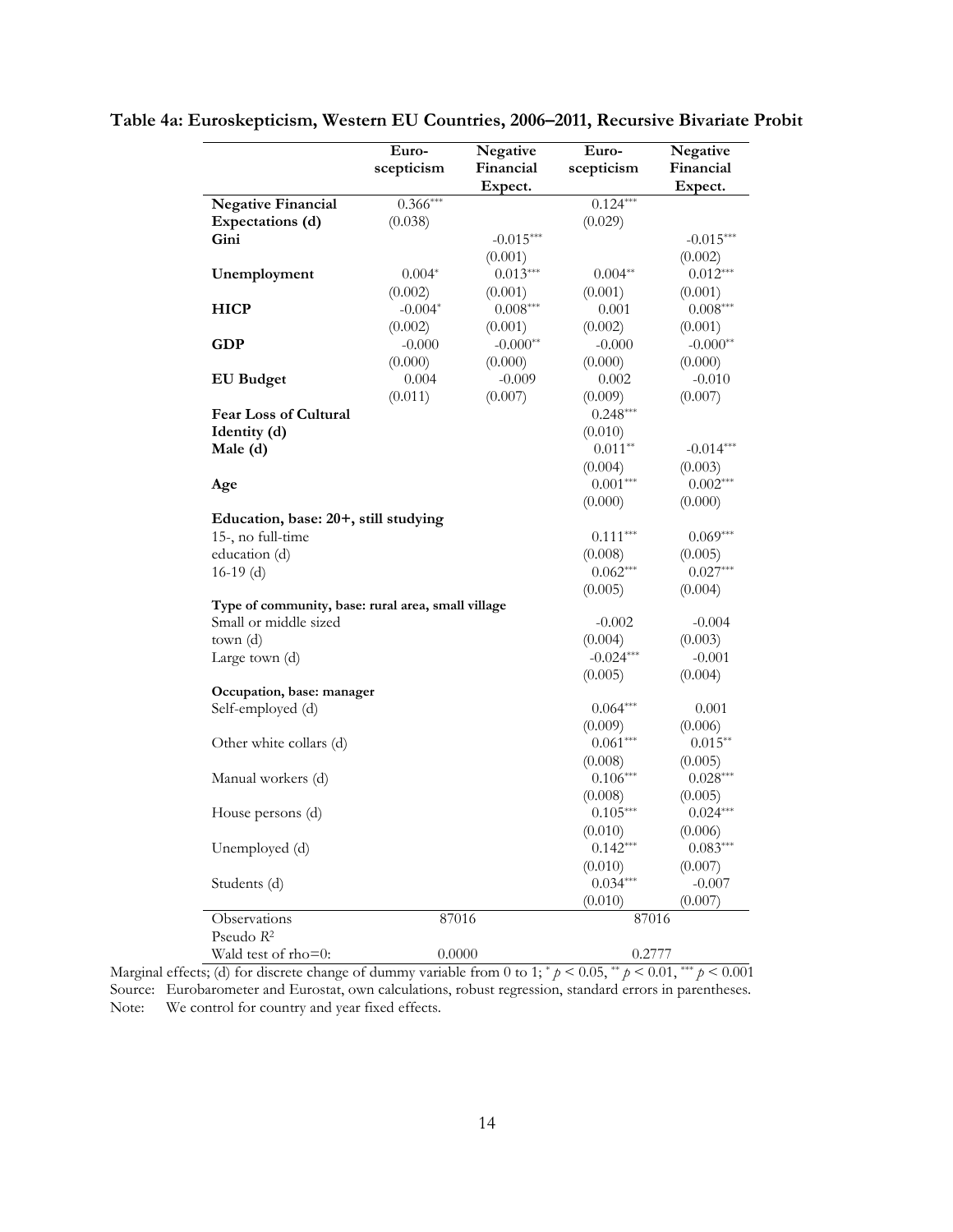| Table 4a: Euroskepticism, Western EU Countries, 2006–2011, Recursive Bivariate Probit |  |  |  |  |  |
|---------------------------------------------------------------------------------------|--|--|--|--|--|
|---------------------------------------------------------------------------------------|--|--|--|--|--|

|                                                    | Euro-      | Negative    | Euro-                 | Negative              |
|----------------------------------------------------|------------|-------------|-----------------------|-----------------------|
|                                                    | scepticism | Financial   | scepticism            | Financial             |
|                                                    |            | Expect.     |                       | Expect.               |
| <b>Negative Financial</b>                          | $0.366***$ |             | $0.124***$            |                       |
| Expectations (d)                                   | (0.038)    |             | (0.029)               |                       |
| Gini                                               |            | $-0.015***$ |                       | $-0.015***$           |
|                                                    |            | (0.001)     |                       | (0.002)               |
| Unemployment                                       | $0.004*$   | $0.013***$  | $0.004**$             | $0.012***$            |
|                                                    | (0.002)    | (0.001)     | (0.001)               | (0.001)               |
| <b>HICP</b>                                        | $-0.004*$  | $0.008***$  | 0.001                 | $0.008***$            |
|                                                    | (0.002)    | (0.001)     | (0.002)               | (0.001)               |
| <b>GDP</b>                                         | $-0.000$   | $-0.000**$  | $-0.000$              | $-0.000**$            |
|                                                    | (0.000)    | (0.000)     | (0.000)               | (0.000)               |
| <b>EU</b> Budget                                   | 0.004      | $-0.009$    | 0.002                 | $-0.010$              |
|                                                    | (0.011)    | (0.007)     | (0.009)               | (0.007)               |
| Fear Loss of Cultural                              |            |             | $0.248***$            |                       |
| Identity (d)                                       |            |             | (0.010)               |                       |
| Male (d)                                           |            |             | $0.011**$             | $-0.014***$           |
|                                                    |            |             | (0.004)               | (0.003)               |
| Age                                                |            |             | $0.001***$            | $0.002***$            |
|                                                    |            |             | (0.000)               | (0.000)               |
| Education, base: 20+, still studying               |            |             |                       |                       |
| 15-, no full-time                                  |            |             | $0.111***$            | $0.069***$            |
| education (d)                                      |            |             | (0.008)               | (0.005)               |
| $16-19$ (d)                                        |            |             | $0.062***$            | $0.027***$            |
|                                                    |            |             | (0.005)               | (0.004)               |
| Type of community, base: rural area, small village |            |             |                       |                       |
| Small or middle sized                              |            |             | $-0.002$              | $-0.004$              |
| town(d)                                            |            |             | (0.004)               | (0.003)               |
| Large town (d)                                     |            |             | $-0.024***$           | $-0.001$              |
|                                                    |            |             | (0.005)               | (0.004)               |
| Occupation, base: manager                          |            |             |                       |                       |
| Self-employed (d)                                  |            |             | $0.064***$            | 0.001                 |
|                                                    |            |             | (0.009)               | (0.006)               |
| Other white collars (d)                            |            |             | $0.061***$            | $0.015**$             |
|                                                    |            |             | (0.008)               | (0.005)               |
| Manual workers (d)                                 |            |             | $0.106***$            | $0.028***$            |
|                                                    |            |             |                       |                       |
|                                                    |            |             | (0.008)<br>$0.105***$ | (0.005)<br>$0.024***$ |
| House persons (d)                                  |            |             |                       |                       |
|                                                    |            |             | (0.010)               | (0.006)               |
| Unemployed (d)                                     |            |             | $0.142***$            | $0.083***$            |
|                                                    |            |             | (0.010)               | (0.007)               |
| Students (d)                                       |            |             | $0.034***$            | $-0.007$              |
|                                                    |            |             | (0.010)               | (0.007)               |
| Observations                                       | 87016      |             | 87016                 |                       |
| Pseudo R <sup>2</sup>                              |            |             |                       |                       |
| Wald test of rho=0:                                | 0.0000     |             | 0.2777                |                       |

Marginal effects; (d) for discrete change of dummy variable from 0 to 1;  $\gamma > 0.05$ ,  $\gamma \gamma > 0.01$ ,  $\gamma \gamma \gamma > 0.001$ Source: Eurobarometer and Eurostat, own calculations, robust regression, standard errors in parentheses. Note: We control for country and year fixed effects.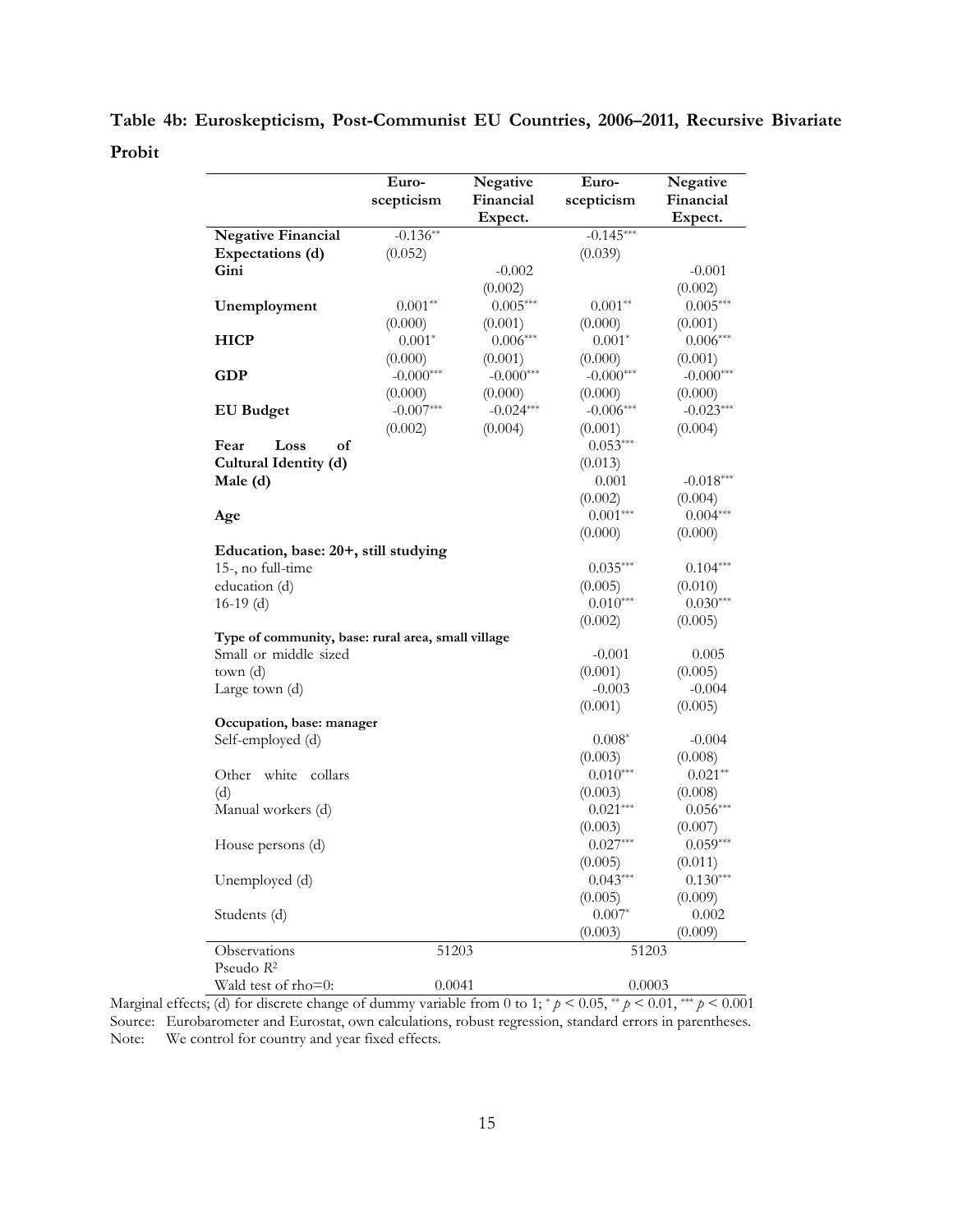**Table 4b: Euroskepticism, Post-Communist EU Countries, 2006–2011, Recursive Bivariate Probit** 

| <b>Negative Financial</b><br>Expectations (d)<br>Gini<br>Unemployment<br><b>HICP</b><br><b>GDP</b><br><b>EU</b> Budget<br>Fear<br>of<br>Loss<br>Cultural Identity (d)<br>Male (d)<br>Age<br>Education, base: 20+, still studying<br>15-, no full-time<br>education (d)<br>$16-19$ (d)<br>Type of community, base: rural area, small village<br>Small or middle sized<br>town(d)<br>Large town (d)<br>Occupation, base: manager | $-0.136**$<br>(0.052)<br>$0.001**$<br>(0.000)<br>$0.001*$<br>(0.000)<br>$-0.000***$<br>(0.000)<br>$-0.007***$ | Expect.<br>$-0.002$<br>(0.002)<br>$0.005***$<br>(0.001)<br>$0.006***$<br>(0.001)<br>$-0.000***$ | $-0.145***$<br>(0.039)<br>$0.001**$<br>(0.000)<br>$0.001*$<br>(0.000)<br>$-0.000***$ | Expect.<br>$-0.001$<br>(0.002)<br>$0.005***$<br>(0.001)<br>$0.006***$<br>(0.001) |
|--------------------------------------------------------------------------------------------------------------------------------------------------------------------------------------------------------------------------------------------------------------------------------------------------------------------------------------------------------------------------------------------------------------------------------|---------------------------------------------------------------------------------------------------------------|-------------------------------------------------------------------------------------------------|--------------------------------------------------------------------------------------|----------------------------------------------------------------------------------|
|                                                                                                                                                                                                                                                                                                                                                                                                                                |                                                                                                               |                                                                                                 |                                                                                      |                                                                                  |
|                                                                                                                                                                                                                                                                                                                                                                                                                                |                                                                                                               |                                                                                                 |                                                                                      |                                                                                  |
|                                                                                                                                                                                                                                                                                                                                                                                                                                |                                                                                                               |                                                                                                 |                                                                                      |                                                                                  |
|                                                                                                                                                                                                                                                                                                                                                                                                                                |                                                                                                               |                                                                                                 |                                                                                      |                                                                                  |
|                                                                                                                                                                                                                                                                                                                                                                                                                                |                                                                                                               |                                                                                                 |                                                                                      |                                                                                  |
|                                                                                                                                                                                                                                                                                                                                                                                                                                |                                                                                                               |                                                                                                 |                                                                                      |                                                                                  |
|                                                                                                                                                                                                                                                                                                                                                                                                                                |                                                                                                               |                                                                                                 |                                                                                      |                                                                                  |
|                                                                                                                                                                                                                                                                                                                                                                                                                                |                                                                                                               |                                                                                                 |                                                                                      |                                                                                  |
|                                                                                                                                                                                                                                                                                                                                                                                                                                |                                                                                                               |                                                                                                 |                                                                                      | $-0.000***$                                                                      |
|                                                                                                                                                                                                                                                                                                                                                                                                                                |                                                                                                               | (0.000)                                                                                         | (0.000)                                                                              | (0.000)                                                                          |
|                                                                                                                                                                                                                                                                                                                                                                                                                                |                                                                                                               | $-0.024***$                                                                                     | $-0.006***$                                                                          | $-0.023***$                                                                      |
|                                                                                                                                                                                                                                                                                                                                                                                                                                | (0.002)                                                                                                       | (0.004)                                                                                         | (0.001)                                                                              | (0.004)                                                                          |
|                                                                                                                                                                                                                                                                                                                                                                                                                                |                                                                                                               |                                                                                                 | $0.053***$                                                                           |                                                                                  |
|                                                                                                                                                                                                                                                                                                                                                                                                                                |                                                                                                               |                                                                                                 | (0.013)                                                                              |                                                                                  |
|                                                                                                                                                                                                                                                                                                                                                                                                                                |                                                                                                               |                                                                                                 | 0.001                                                                                | $-0.018***$                                                                      |
|                                                                                                                                                                                                                                                                                                                                                                                                                                |                                                                                                               |                                                                                                 | (0.002)                                                                              | (0.004)                                                                          |
|                                                                                                                                                                                                                                                                                                                                                                                                                                |                                                                                                               |                                                                                                 | $0.001***$                                                                           | $0.004***$                                                                       |
|                                                                                                                                                                                                                                                                                                                                                                                                                                |                                                                                                               |                                                                                                 | (0.000)                                                                              | (0.000)                                                                          |
|                                                                                                                                                                                                                                                                                                                                                                                                                                |                                                                                                               |                                                                                                 |                                                                                      |                                                                                  |
|                                                                                                                                                                                                                                                                                                                                                                                                                                |                                                                                                               |                                                                                                 | $0.035***$                                                                           | $0.104***$                                                                       |
|                                                                                                                                                                                                                                                                                                                                                                                                                                |                                                                                                               |                                                                                                 | (0.005)                                                                              | (0.010)                                                                          |
|                                                                                                                                                                                                                                                                                                                                                                                                                                |                                                                                                               |                                                                                                 | $0.010***$                                                                           | $0.030***$                                                                       |
|                                                                                                                                                                                                                                                                                                                                                                                                                                |                                                                                                               |                                                                                                 | (0.002)                                                                              | (0.005)                                                                          |
|                                                                                                                                                                                                                                                                                                                                                                                                                                |                                                                                                               |                                                                                                 |                                                                                      |                                                                                  |
|                                                                                                                                                                                                                                                                                                                                                                                                                                |                                                                                                               |                                                                                                 | $-0.001$                                                                             | 0.005                                                                            |
|                                                                                                                                                                                                                                                                                                                                                                                                                                |                                                                                                               |                                                                                                 | (0.001)                                                                              | (0.005)                                                                          |
|                                                                                                                                                                                                                                                                                                                                                                                                                                |                                                                                                               |                                                                                                 | $-0.003$                                                                             | $-0.004$                                                                         |
|                                                                                                                                                                                                                                                                                                                                                                                                                                |                                                                                                               |                                                                                                 | (0.001)                                                                              | (0.005)                                                                          |
|                                                                                                                                                                                                                                                                                                                                                                                                                                |                                                                                                               |                                                                                                 |                                                                                      |                                                                                  |
| Self-employed (d)                                                                                                                                                                                                                                                                                                                                                                                                              |                                                                                                               |                                                                                                 | $0.008*$                                                                             | $-0.004$                                                                         |
|                                                                                                                                                                                                                                                                                                                                                                                                                                |                                                                                                               |                                                                                                 | (0.003)                                                                              | (0.008)                                                                          |
| Other<br>white<br>collars                                                                                                                                                                                                                                                                                                                                                                                                      |                                                                                                               |                                                                                                 | $0.010***$                                                                           | $0.021**$                                                                        |
| (d)                                                                                                                                                                                                                                                                                                                                                                                                                            |                                                                                                               |                                                                                                 | (0.003)                                                                              | (0.008)                                                                          |
| Manual workers (d)                                                                                                                                                                                                                                                                                                                                                                                                             |                                                                                                               |                                                                                                 | $0.021***$                                                                           | $0.056***$                                                                       |
|                                                                                                                                                                                                                                                                                                                                                                                                                                |                                                                                                               |                                                                                                 | (0.003)                                                                              | (0.007)                                                                          |
| House persons (d)                                                                                                                                                                                                                                                                                                                                                                                                              |                                                                                                               |                                                                                                 | $0.027***$                                                                           | $0.059***$                                                                       |
|                                                                                                                                                                                                                                                                                                                                                                                                                                |                                                                                                               |                                                                                                 | (0.005)                                                                              | (0.011)                                                                          |
| Unemployed (d)                                                                                                                                                                                                                                                                                                                                                                                                                 |                                                                                                               |                                                                                                 | $0.043***$                                                                           | $0.130***$                                                                       |
|                                                                                                                                                                                                                                                                                                                                                                                                                                |                                                                                                               |                                                                                                 | (0.005)                                                                              | (0.009)                                                                          |
| Students (d)                                                                                                                                                                                                                                                                                                                                                                                                                   |                                                                                                               |                                                                                                 | $0.007*$                                                                             | 0.002                                                                            |
|                                                                                                                                                                                                                                                                                                                                                                                                                                |                                                                                                               |                                                                                                 | (0.003)                                                                              | (0.009)                                                                          |
| Observations<br>Pseudo R <sup>2</sup>                                                                                                                                                                                                                                                                                                                                                                                          | 51203                                                                                                         |                                                                                                 | 51203                                                                                |                                                                                  |
| Wald test of rho=0:                                                                                                                                                                                                                                                                                                                                                                                                            | 0.0041                                                                                                        |                                                                                                 | 0.0003                                                                               |                                                                                  |

Marginal effects; (d) for discrete change of dummy variable from 0 to 1;  $\gamma > 0.05$ ,  $\gamma \gamma > 0.01$ ,  $\gamma \gamma \gamma > 0.001$ Source: Eurobarometer and Eurostat, own calculations, robust regression, standard errors in parentheses. Note: We control for country and year fixed effects.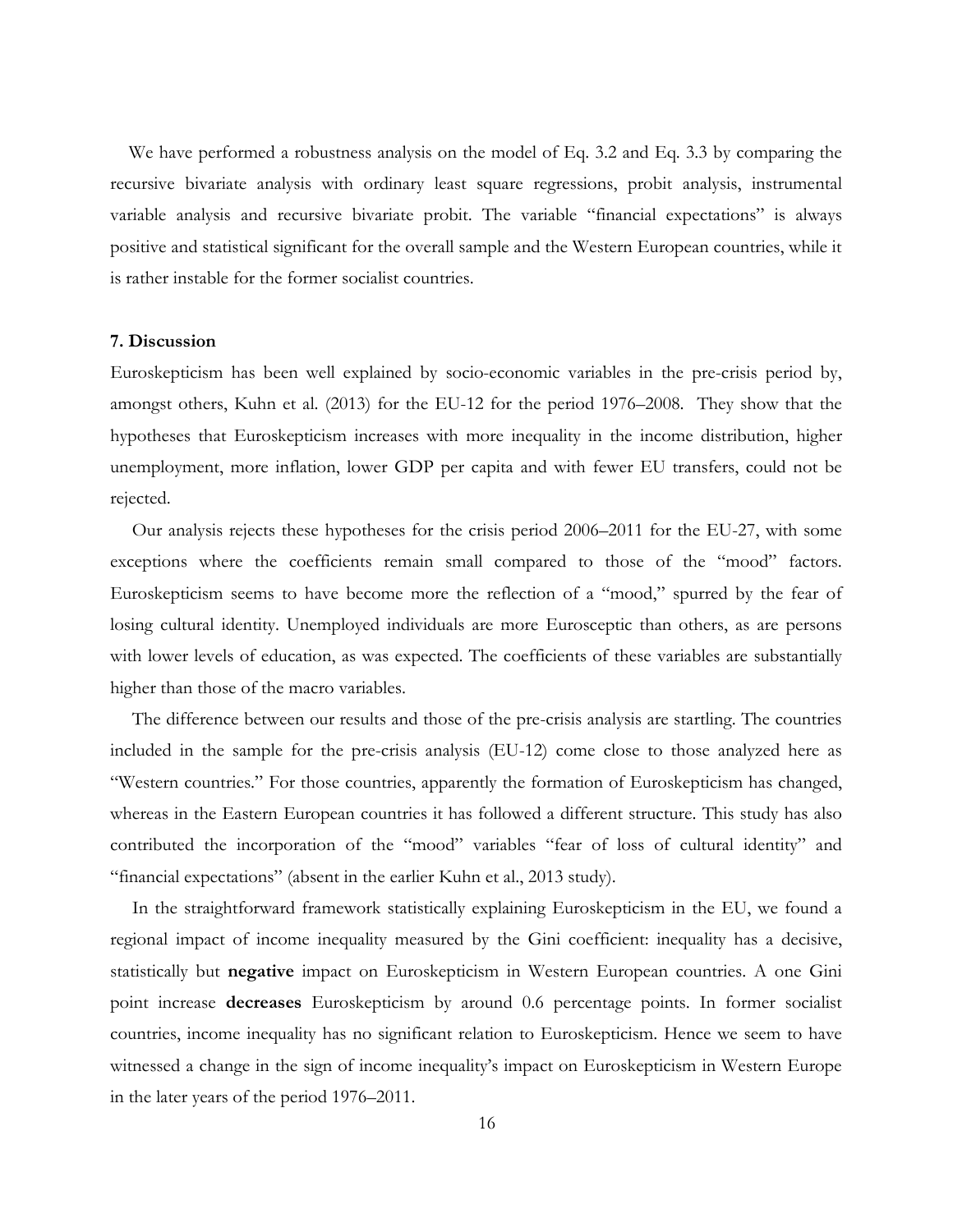We have performed a robustness analysis on the model of Eq. 3.2 and Eq. 3.3 by comparing the recursive bivariate analysis with ordinary least square regressions, probit analysis, instrumental variable analysis and recursive bivariate probit. The variable "financial expectations" is always positive and statistical significant for the overall sample and the Western European countries, while it is rather instable for the former socialist countries.

#### **7. Discussion**

Euroskepticism has been well explained by socio-economic variables in the pre-crisis period by, amongst others, Kuhn et al. (2013) for the EU-12 for the period 1976–2008. They show that the hypotheses that Euroskepticism increases with more inequality in the income distribution, higher unemployment, more inflation, lower GDP per capita and with fewer EU transfers, could not be rejected.

Our analysis rejects these hypotheses for the crisis period 2006–2011 for the EU-27, with some exceptions where the coefficients remain small compared to those of the "mood" factors. Euroskepticism seems to have become more the reflection of a "mood," spurred by the fear of losing cultural identity. Unemployed individuals are more Eurosceptic than others, as are persons with lower levels of education, as was expected. The coefficients of these variables are substantially higher than those of the macro variables.

The difference between our results and those of the pre-crisis analysis are startling. The countries included in the sample for the pre-crisis analysis (EU-12) come close to those analyzed here as "Western countries." For those countries, apparently the formation of Euroskepticism has changed, whereas in the Eastern European countries it has followed a different structure. This study has also contributed the incorporation of the "mood" variables "fear of loss of cultural identity" and "financial expectations" (absent in the earlier Kuhn et al., 2013 study).

In the straightforward framework statistically explaining Euroskepticism in the EU, we found a regional impact of income inequality measured by the Gini coefficient: inequality has a decisive, statistically but **negative** impact on Euroskepticism in Western European countries. A one Gini point increase **decreases** Euroskepticism by around 0.6 percentage points. In former socialist countries, income inequality has no significant relation to Euroskepticism. Hence we seem to have witnessed a change in the sign of income inequality's impact on Euroskepticism in Western Europe in the later years of the period 1976–2011.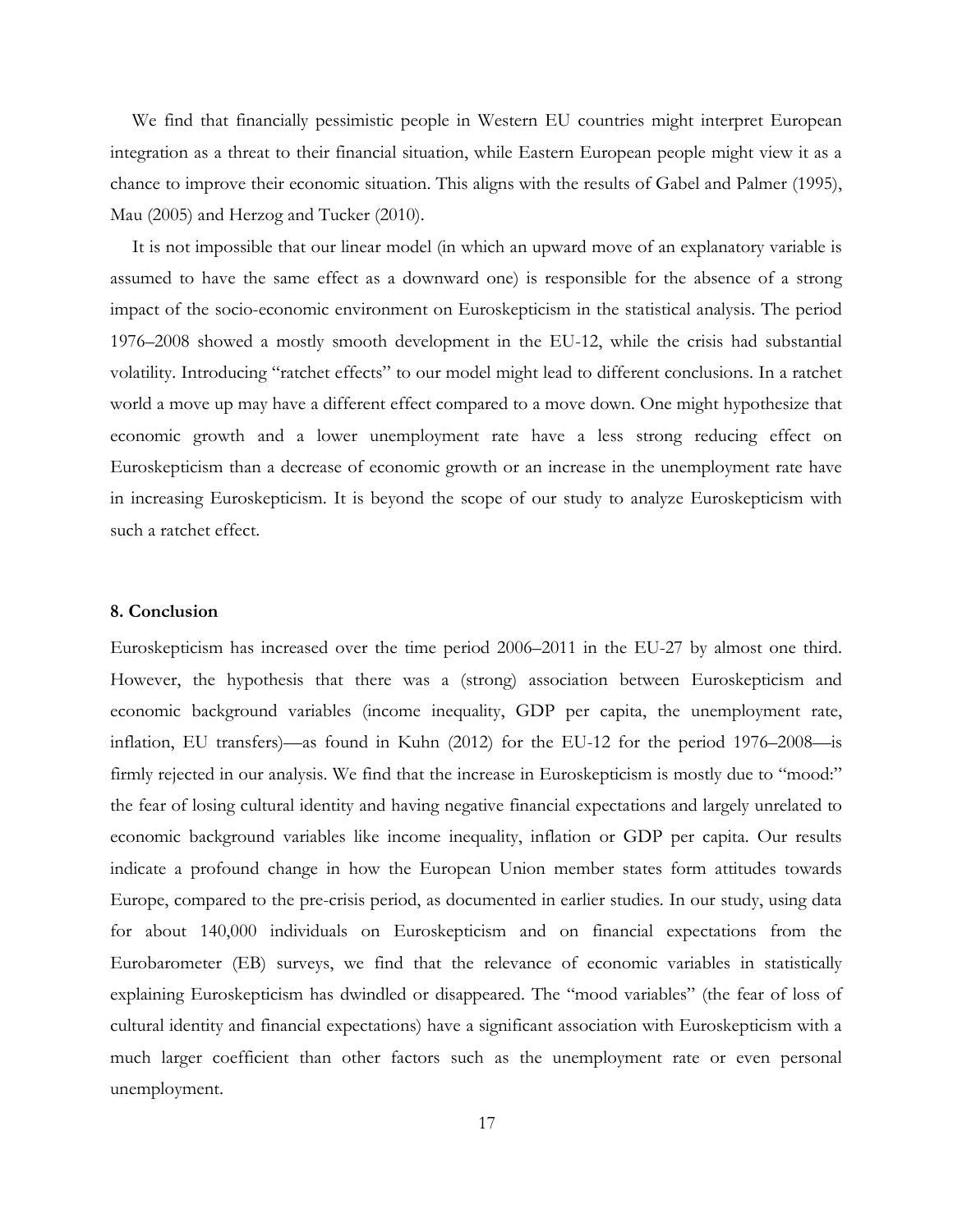We find that financially pessimistic people in Western EU countries might interpret European integration as a threat to their financial situation, while Eastern European people might view it as a chance to improve their economic situation. This aligns with the results of Gabel and Palmer (1995), Mau (2005) and Herzog and Tucker (2010).

It is not impossible that our linear model (in which an upward move of an explanatory variable is assumed to have the same effect as a downward one) is responsible for the absence of a strong impact of the socio-economic environment on Euroskepticism in the statistical analysis. The period 1976–2008 showed a mostly smooth development in the EU-12, while the crisis had substantial volatility. Introducing "ratchet effects" to our model might lead to different conclusions. In a ratchet world a move up may have a different effect compared to a move down. One might hypothesize that economic growth and a lower unemployment rate have a less strong reducing effect on Euroskepticism than a decrease of economic growth or an increase in the unemployment rate have in increasing Euroskepticism. It is beyond the scope of our study to analyze Euroskepticism with such a ratchet effect.

#### **8. Conclusion**

Euroskepticism has increased over the time period 2006–2011 in the EU-27 by almost one third. However, the hypothesis that there was a (strong) association between Euroskepticism and economic background variables (income inequality, GDP per capita, the unemployment rate, inflation, EU transfers)—as found in Kuhn (2012) for the EU-12 for the period 1976–2008—is firmly rejected in our analysis. We find that the increase in Euroskepticism is mostly due to "mood:" the fear of losing cultural identity and having negative financial expectations and largely unrelated to economic background variables like income inequality, inflation or GDP per capita. Our results indicate a profound change in how the European Union member states form attitudes towards Europe, compared to the pre-crisis period, as documented in earlier studies. In our study, using data for about 140,000 individuals on Euroskepticism and on financial expectations from the Eurobarometer (EB) surveys, we find that the relevance of economic variables in statistically explaining Euroskepticism has dwindled or disappeared. The "mood variables" (the fear of loss of cultural identity and financial expectations) have a significant association with Euroskepticism with a much larger coefficient than other factors such as the unemployment rate or even personal unemployment.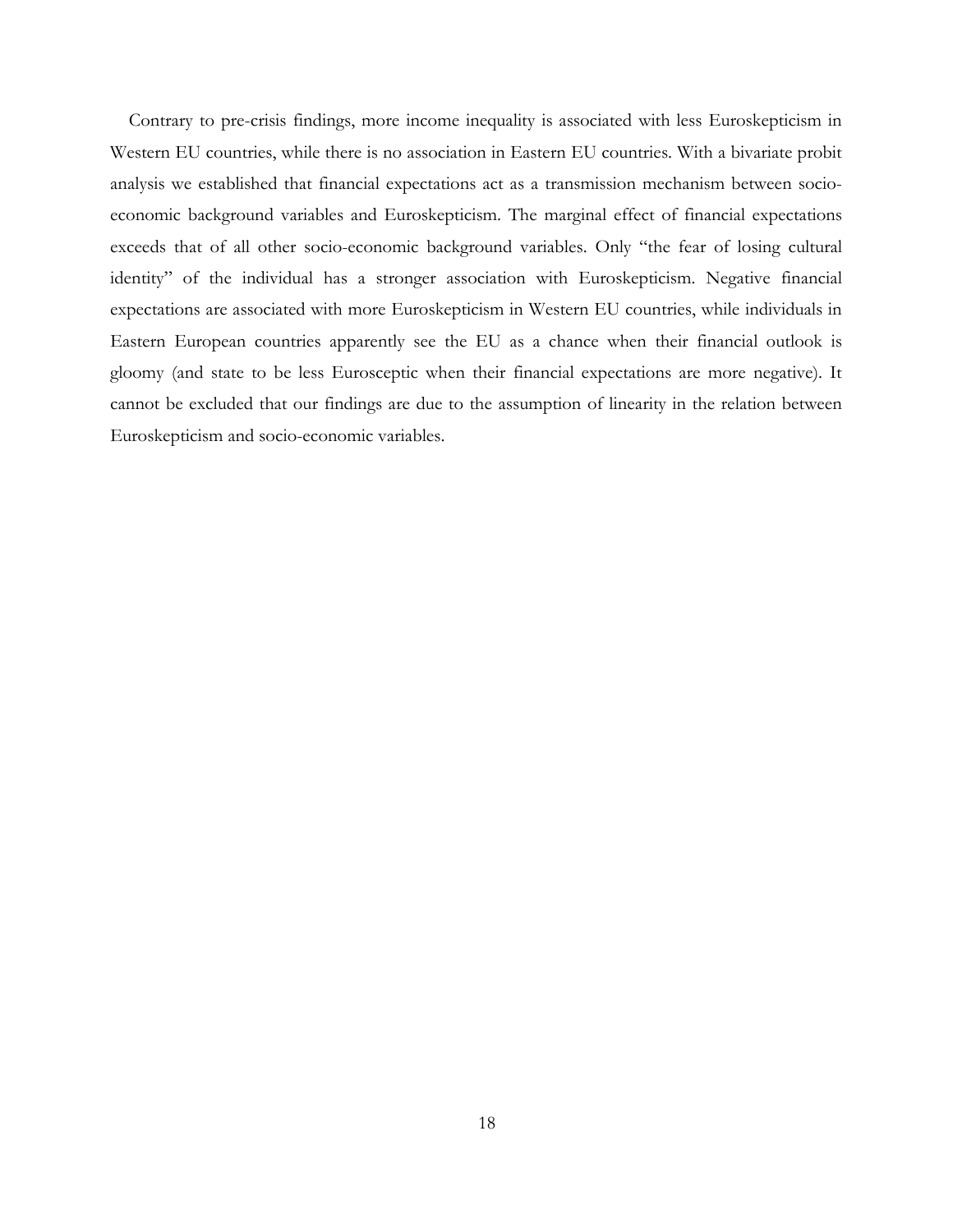Contrary to pre-crisis findings, more income inequality is associated with less Euroskepticism in Western EU countries, while there is no association in Eastern EU countries. With a bivariate probit analysis we established that financial expectations act as a transmission mechanism between socioeconomic background variables and Euroskepticism. The marginal effect of financial expectations exceeds that of all other socio-economic background variables. Only "the fear of losing cultural identity" of the individual has a stronger association with Euroskepticism. Negative financial expectations are associated with more Euroskepticism in Western EU countries, while individuals in Eastern European countries apparently see the EU as a chance when their financial outlook is gloomy (and state to be less Eurosceptic when their financial expectations are more negative). It cannot be excluded that our findings are due to the assumption of linearity in the relation between Euroskepticism and socio-economic variables.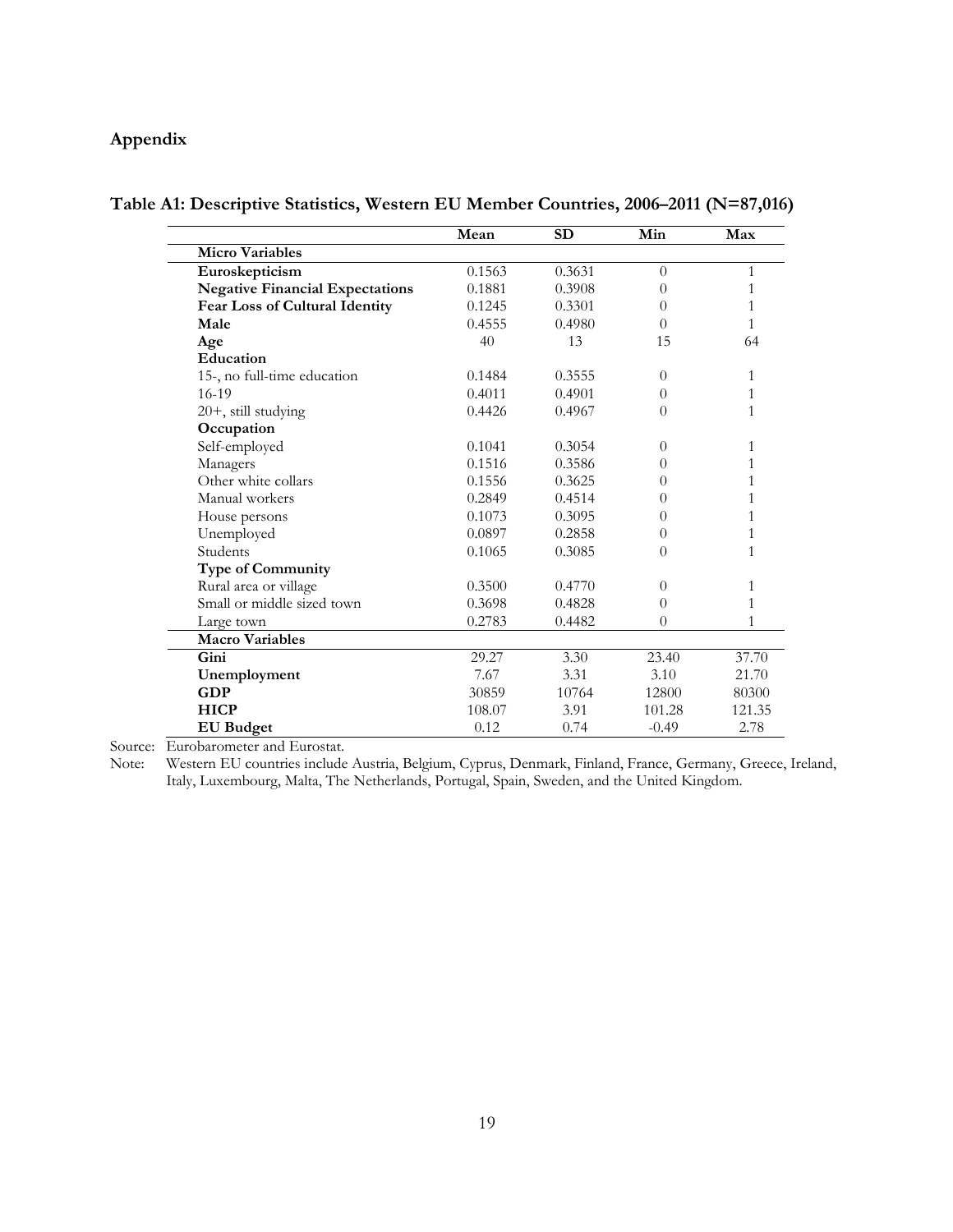### **Appendix**

|                                        | Mean   | <b>SD</b> | Min      | Max    |
|----------------------------------------|--------|-----------|----------|--------|
| <b>Micro Variables</b>                 |        |           |          |        |
| Euroskepticism                         | 0.1563 | 0.3631    | $\theta$ | 1      |
| <b>Negative Financial Expectations</b> | 0.1881 | 0.3908    | $\theta$ | 1      |
| Fear Loss of Cultural Identity         | 0.1245 | 0.3301    | $\theta$ | 1      |
| Male                                   | 0.4555 | 0.4980    | $\Omega$ | 1      |
| Age                                    | 40     | 13        | 15       | 64     |
| Education                              |        |           |          |        |
| 15-, no full-time education            | 0.1484 | 0.3555    | $\theta$ | 1      |
| $16-19$                                | 0.4011 | 0.4901    | 0        | 1      |
| 20+, still studying                    | 0.4426 | 0.4967    | $\theta$ | 1      |
| Occupation                             |        |           |          |        |
| Self-employed                          | 0.1041 | 0.3054    | $\Omega$ | 1      |
| Managers                               | 0.1516 | 0.3586    | 0        | 1      |
| Other white collars                    | 0.1556 | 0.3625    | 0        | 1      |
| Manual workers                         | 0.2849 | 0.4514    | 0        | 1      |
| House persons                          | 0.1073 | 0.3095    | 0        | 1      |
| Unemployed                             | 0.0897 | 0.2858    | 0        | 1      |
| Students                               | 0.1065 | 0.3085    | $\theta$ | 1      |
| <b>Type of Community</b>               |        |           |          |        |
| Rural area or village                  | 0.3500 | 0.4770    | $\Omega$ | 1      |
| Small or middle sized town             | 0.3698 | 0.4828    | $\theta$ | 1      |
| Large town                             | 0.2783 | 0.4482    | $\theta$ | 1      |
| <b>Macro Variables</b>                 |        |           |          |        |
| Gini                                   | 29.27  | 3.30      | 23.40    | 37.70  |
| Unemployment                           | 7.67   | 3.31      | 3.10     | 21.70  |
| <b>GDP</b>                             | 30859  | 10764     | 12800    | 80300  |
| <b>HICP</b>                            | 108.07 | 3.91      | 101.28   | 121.35 |
| <b>EU</b> Budget                       | 0.12   | 0.74      | $-0.49$  | 2.78   |

**Table A1: Descriptive Statistics, Western EU Member Countries, 2006–2011 (N=87,016)**

Source: Eurobarometer and Eurostat.

Note: Western EU countries include Austria, Belgium, Cyprus, Denmark, Finland, France, Germany, Greece, Ireland, Italy, Luxembourg, Malta, The Netherlands, Portugal, Spain, Sweden, and the United Kingdom.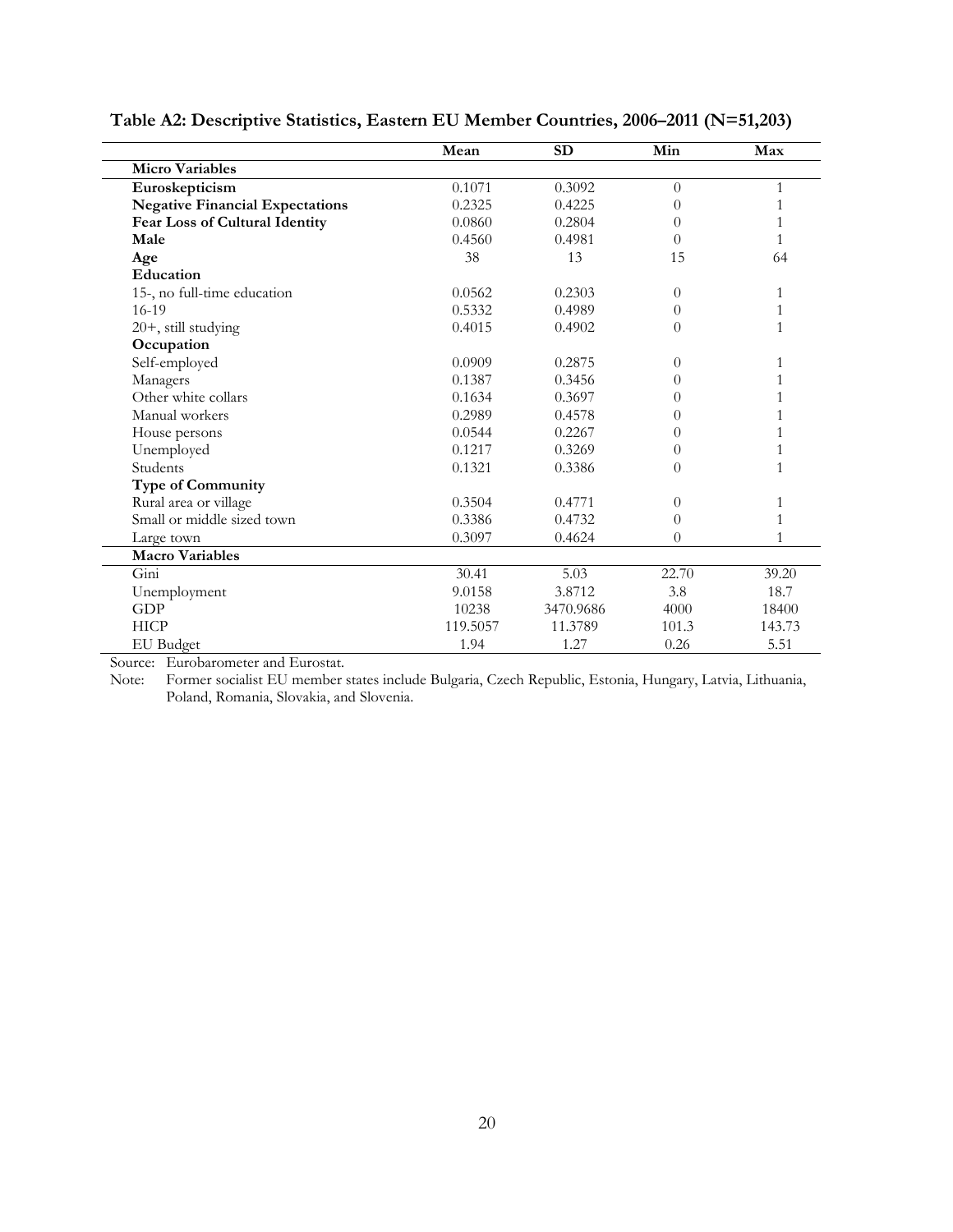|                                        | Mean     | <b>SD</b> | Min      | Max    |
|----------------------------------------|----------|-----------|----------|--------|
| <b>Micro Variables</b>                 |          |           |          |        |
| Euroskepticism                         | 0.1071   | 0.3092    | $\Omega$ | 1      |
| <b>Negative Financial Expectations</b> | 0.2325   | 0.4225    | $\theta$ |        |
| <b>Fear Loss of Cultural Identity</b>  | 0.0860   | 0.2804    | $\theta$ |        |
| Male                                   | 0.4560   | 0.4981    | $\theta$ |        |
| Age                                    | 38       | 13        | 15       | 64     |
| Education                              |          |           |          |        |
| 15-, no full-time education            | 0.0562   | 0.2303    | $\theta$ | 1      |
| $16-19$                                | 0.5332   | 0.4989    | $\Omega$ | 1      |
| 20+, still studying                    | 0.4015   | 0.4902    | $\theta$ | 1      |
| Occupation                             |          |           |          |        |
| Self-employed                          | 0.0909   | 0.2875    | $\theta$ | 1      |
| Managers                               | 0.1387   | 0.3456    | $\theta$ |        |
| Other white collars                    | 0.1634   | 0.3697    | $\theta$ |        |
| Manual workers                         | 0.2989   | 0.4578    | $\Omega$ |        |
| House persons                          | 0.0544   | 0.2267    | $\theta$ |        |
| Unemployed                             | 0.1217   | 0.3269    | $\Omega$ |        |
| Students                               | 0.1321   | 0.3386    | $\theta$ | 1      |
| <b>Type of Community</b>               |          |           |          |        |
| Rural area or village                  | 0.3504   | 0.4771    | $\Omega$ | 1      |
| Small or middle sized town             | 0.3386   | 0.4732    | $\Omega$ |        |
| Large town                             | 0.3097   | 0.4624    | $\Omega$ |        |
| <b>Macro Variables</b>                 |          |           |          |        |
| Gini                                   | 30.41    | 5.03      | 22.70    | 39.20  |
| Unemployment                           | 9.0158   | 3.8712    | 3.8      | 18.7   |
| <b>GDP</b>                             | 10238    | 3470.9686 | 4000     | 18400  |
| <b>HICP</b>                            | 119.5057 | 11.3789   | 101.3    | 143.73 |
| <b>EU</b> Budget                       | 1.94     | 1.27      | 0.26     | 5.51   |

**Table A2: Descriptive Statistics, Eastern EU Member Countries, 2006–2011 (N=51,203)**

Source: Eurobarometer and Eurostat.

Note: Former socialist EU member states include Bulgaria, Czech Republic, Estonia, Hungary, Latvia, Lithuania, Poland, Romania, Slovakia, and Slovenia.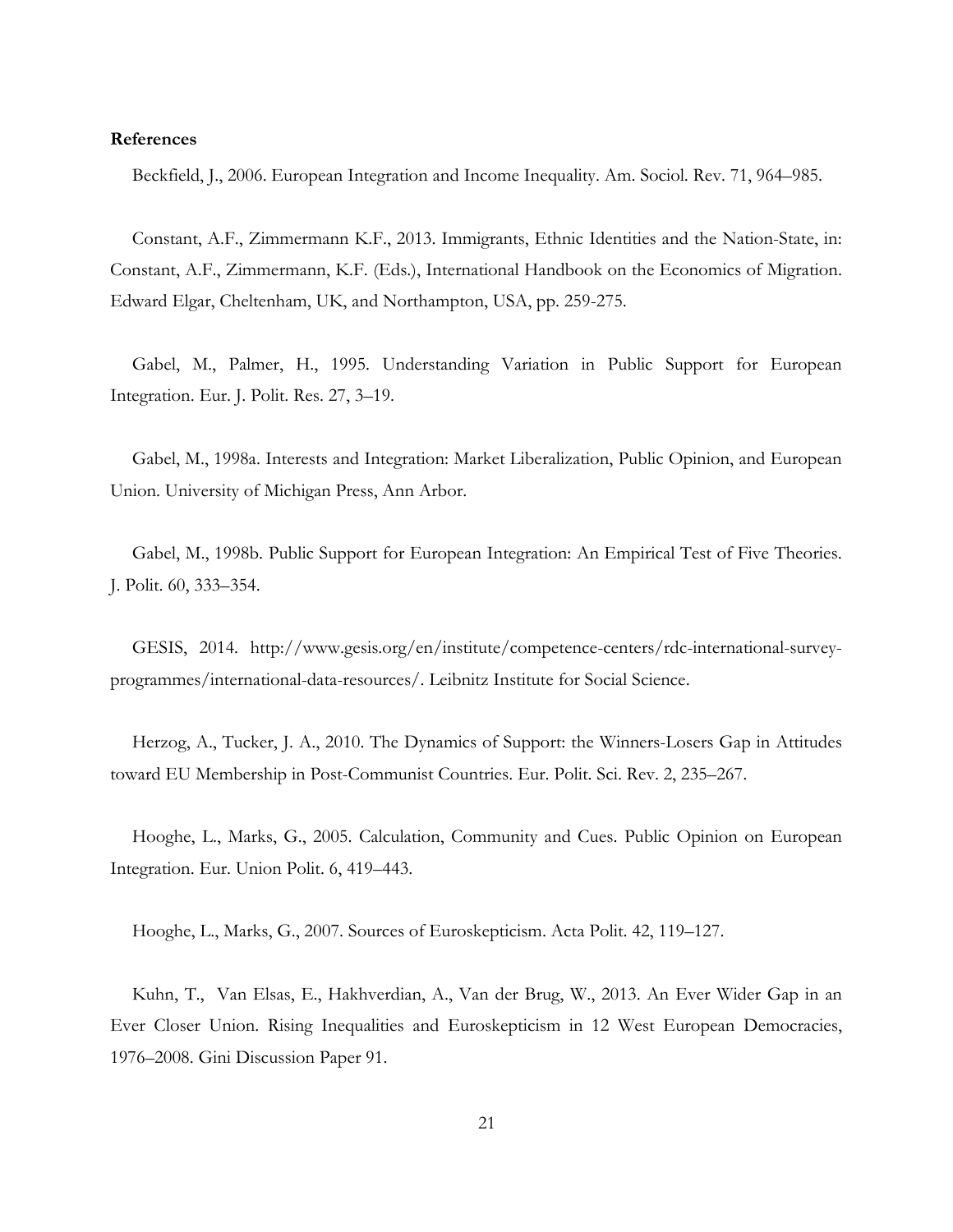#### **References**

Beckfield, J., 2006. European Integration and Income Inequality. Am. Sociol. Rev. 71, 964–985.

Constant, A.F., Zimmermann K.F., 2013. Immigrants, Ethnic Identities and the Nation-State, in: Constant, A.F., Zimmermann, K.F. (Eds.), International Handbook on the Economics of Migration. Edward Elgar, Cheltenham, UK, and Northampton, USA, pp. 259-275.

Gabel, M., Palmer, H., 1995. Understanding Variation in Public Support for European Integration. Eur. J. Polit. Res. 27, 3–19.

Gabel, M., 1998a. Interests and Integration: Market Liberalization, Public Opinion, and European Union. University of Michigan Press, Ann Arbor.

Gabel, M., 1998b. Public Support for European Integration: An Empirical Test of Five Theories. J. Polit. 60, 333–354.

GESIS, 2014. [http://www.gesis.org/en/institute/competence-centers/rdc-international-survey](http://www.gesis.org/en/institute/competence-centers/rdc-international-survey-programmes/international-data-resources/)[programmes/international-data-resources/.](http://www.gesis.org/en/institute/competence-centers/rdc-international-survey-programmes/international-data-resources/) Leibnitz Institute for Social Science.

Herzog, A., Tucker, J. A., 2010. The Dynamics of Support: the Winners-Losers Gap in Attitudes toward EU Membership in Post-Communist Countries. Eur. Polit. Sci. Rev. 2, 235–267.

Hooghe, L., Marks, G., 2005. Calculation, Community and Cues. Public Opinion on European Integration. Eur. Union Polit. 6, 419–443.

Hooghe, L., Marks, G., 2007. Sources of Euroskepticism. Acta Polit. 42, 119–127.

Kuhn, T., Van Elsas, E., Hakhverdian, A., Van der Brug, W., 2013. An Ever Wider Gap in an Ever Closer Union. Rising Inequalities and Euroskepticism in 12 West European Democracies, 1976–2008. Gini Discussion Paper 91.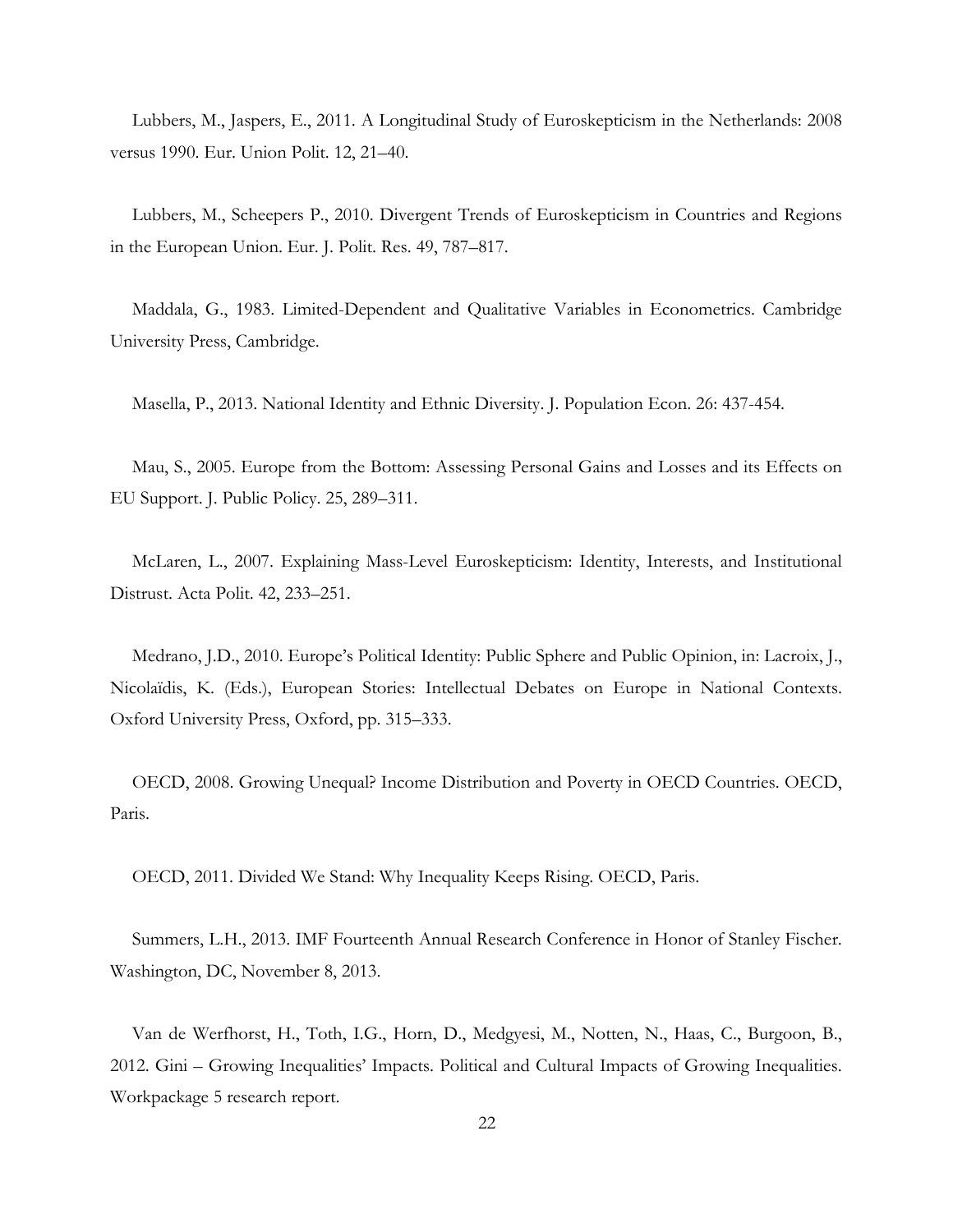Lubbers, M., Jaspers, E., 2011. A Longitudinal Study of Euroskepticism in the Netherlands: 2008 versus 1990. Eur. Union Polit. 12, 21–40.

Lubbers, M., Scheepers P., 2010. Divergent Trends of Euroskepticism in Countries and Regions in the European Union. Eur. J. Polit. Res. 49, 787–817.

Maddala, G., 1983. Limited-Dependent and Qualitative Variables in Econometrics. Cambridge University Press, Cambridge.

Masella, P., 2013. National Identity and Ethnic Diversity. J. Population Econ. 26: 437-454.

Mau, S., 2005. Europe from the Bottom: Assessing Personal Gains and Losses and its Effects on EU Support. J. Public Policy. 25, 289–311.

McLaren, L., 2007. Explaining Mass-Level Euroskepticism: Identity, Interests, and Institutional Distrust. Acta Polit. 42, 233–251.

Medrano, J.D., 2010. Europe's Political Identity: Public Sphere and Public Opinion, in: Lacroix, J., Nicolaïdis, K. (Eds.), [European Stories: Intellectual Debates on Europe in National Contexts.](http://www.oxfordscholarship.com/view/10.1093/acprof:oso/9780199594627.001.0001/acprof-9780199594627) Oxford University Press, Oxford, pp. 315–333.

OECD, 2008. Growing Unequal? Income Distribution and Poverty in OECD Countries. OECD, Paris.

OECD, 2011. Divided We Stand: Why Inequality Keeps Rising. OECD, Paris.

Summers, L.H., 2013. IMF Fourteenth Annual Research Conference in Honor of Stanley Fischer. Washington, DC, November 8, 2013.

Van de Werfhorst, H., Toth, I.G., Horn, D., Medgyesi, M., Notten, N., Haas, C., Burgoon, B., 2012. Gini – Growing Inequalities' Impacts. Political and Cultural Impacts of Growing Inequalities. Workpackage 5 research report.